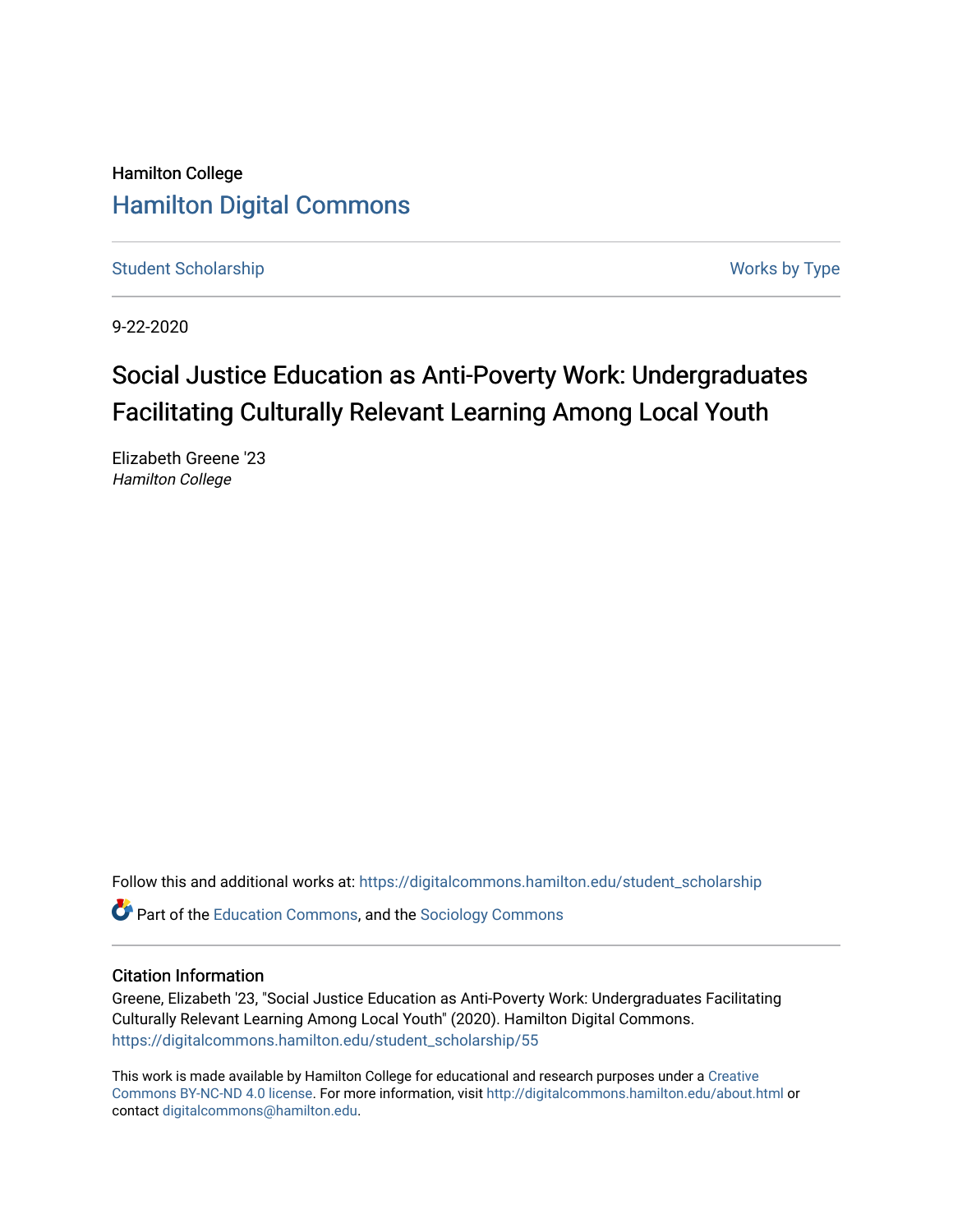# Hamilton College [Hamilton Digital Commons](https://digitalcommons.hamilton.edu/)

[Student Scholarship](https://digitalcommons.hamilton.edu/student_scholarship) Works by Type

9-22-2020

# Social Justice Education as Anti-Poverty Work: Undergraduates Facilitating Culturally Relevant Learning Among Local Youth

Elizabeth Greene '23 Hamilton College

Follow this and additional works at: [https://digitalcommons.hamilton.edu/student\\_scholarship](https://digitalcommons.hamilton.edu/student_scholarship?utm_source=digitalcommons.hamilton.edu%2Fstudent_scholarship%2F55&utm_medium=PDF&utm_campaign=PDFCoverPages) 

Part of the [Education Commons](http://network.bepress.com/hgg/discipline/784?utm_source=digitalcommons.hamilton.edu%2Fstudent_scholarship%2F55&utm_medium=PDF&utm_campaign=PDFCoverPages), and the [Sociology Commons](http://network.bepress.com/hgg/discipline/416?utm_source=digitalcommons.hamilton.edu%2Fstudent_scholarship%2F55&utm_medium=PDF&utm_campaign=PDFCoverPages)

#### Citation Information

Greene, Elizabeth '23, "Social Justice Education as Anti-Poverty Work: Undergraduates Facilitating Culturally Relevant Learning Among Local Youth" (2020). Hamilton Digital Commons. [https://digitalcommons.hamilton.edu/student\\_scholarship/55](https://digitalcommons.hamilton.edu/student_scholarship/55?utm_source=digitalcommons.hamilton.edu%2Fstudent_scholarship%2F55&utm_medium=PDF&utm_campaign=PDFCoverPages)

This work is made available by Hamilton College for educational and research purposes under a [Creative](https://creativecommons.org/licenses/by-nc-nd/4.0/)  [Commons BY-NC-ND 4.0 license.](https://creativecommons.org/licenses/by-nc-nd/4.0/) For more information, visit <http://digitalcommons.hamilton.edu/about.html> or contact [digitalcommons@hamilton.edu.](mailto:digitalcommons@hamilton.edu)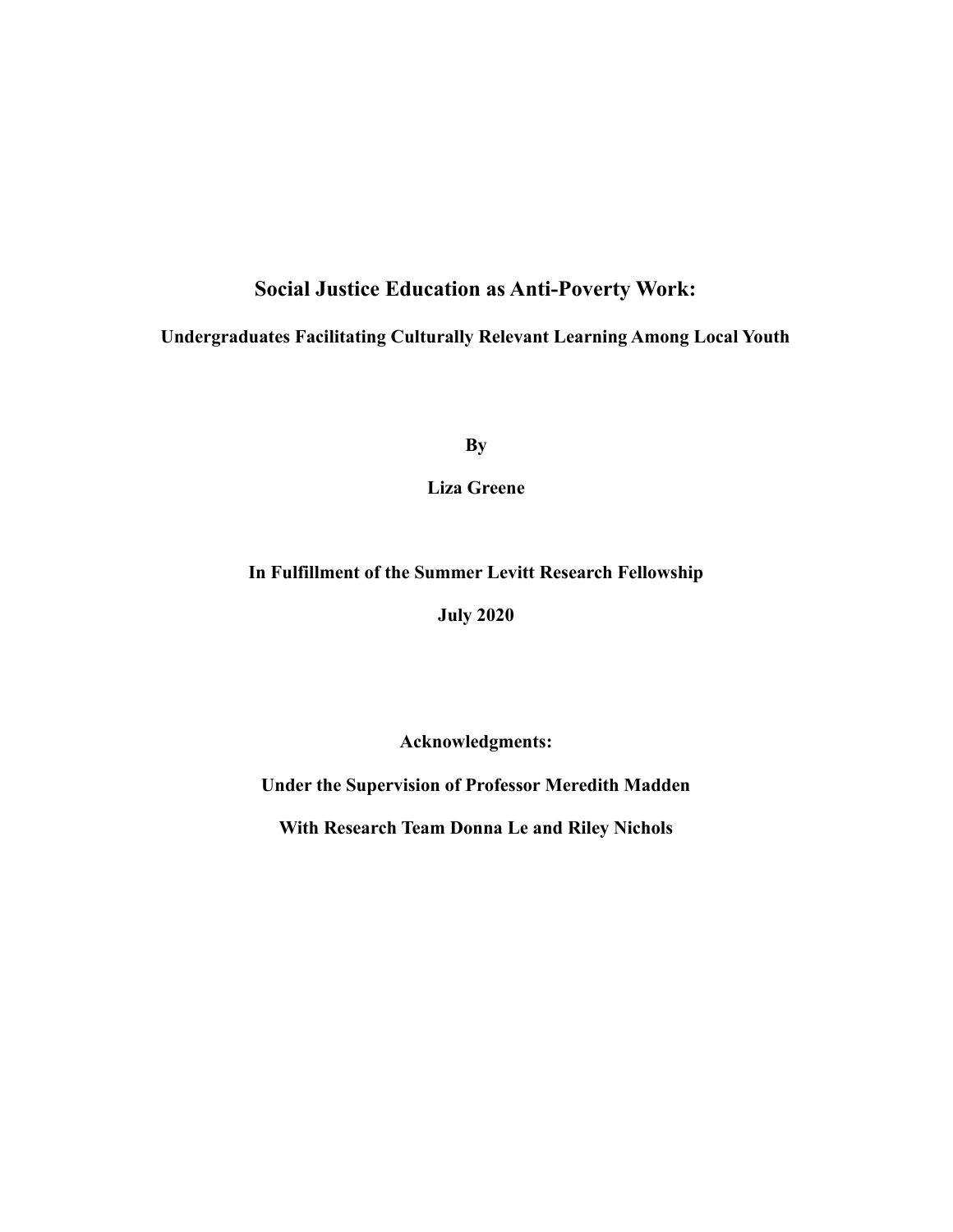## **Social Justice Education as Anti-Poverty Work:**

## **Undergraduates Facilitating Culturally Relevant Learning Among Local Youth**

**By**

**Liza Greene**

### **In Fulfillment of the Summer Levitt Research Fellowship**

**July 2020**

**Acknowledgments:**

**Under the Supervision of Professor Meredith Madden**

**With Research Team Donna Le and Riley Nichols**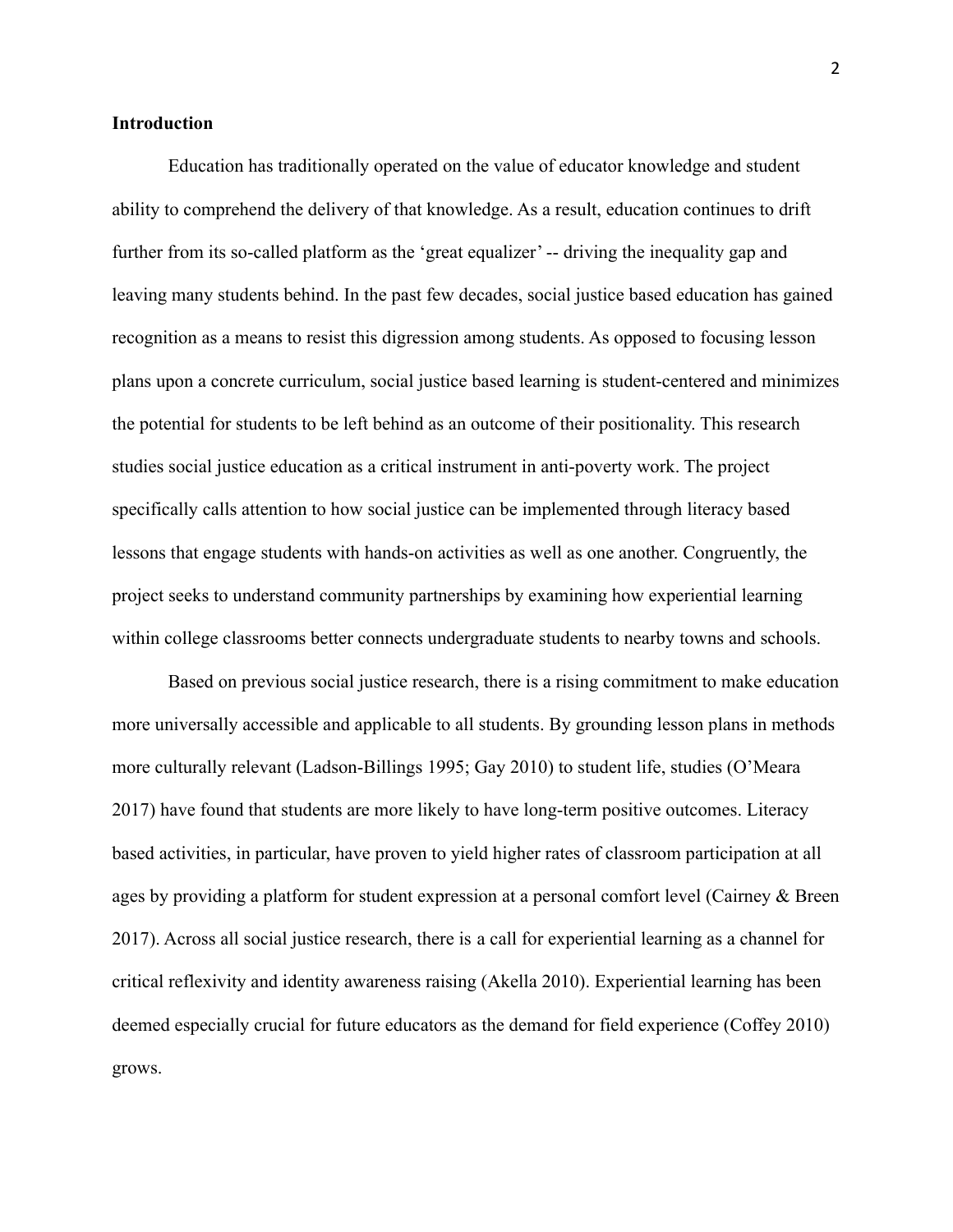#### **Introduction**

Education has traditionally operated on the value of educator knowledge and student ability to comprehend the delivery of that knowledge. As a result, education continues to drift further from its so-called platform as the 'great equalizer' -- driving the inequality gap and leaving many students behind. In the past few decades, social justice based education has gained recognition as a means to resist this digression among students. As opposed to focusing lesson plans upon a concrete curriculum, social justice based learning is student-centered and minimizes the potential for students to be left behind as an outcome of their positionality. This research studies social justice education as a critical instrument in anti-poverty work. The project specifically calls attention to how social justice can be implemented through literacy based lessons that engage students with hands-on activities as well as one another. Congruently, the project seeks to understand community partnerships by examining how experiential learning within college classrooms better connects undergraduate students to nearby towns and schools.

Based on previous social justice research, there is a rising commitment to make education more universally accessible and applicable to all students. By grounding lesson plans in methods more culturally relevant (Ladson-Billings 1995; Gay 2010) to student life, studies (O'Meara 2017) have found that students are more likely to have long-term positive outcomes. Literacy based activities, in particular, have proven to yield higher rates of classroom participation at all ages by providing a platform for student expression at a personal comfort level (Cairney & Breen 2017). Across all social justice research, there is a call for experiential learning as a channel for critical reflexivity and identity awareness raising (Akella 2010). Experiential learning has been deemed especially crucial for future educators as the demand for field experience (Coffey 2010) grows.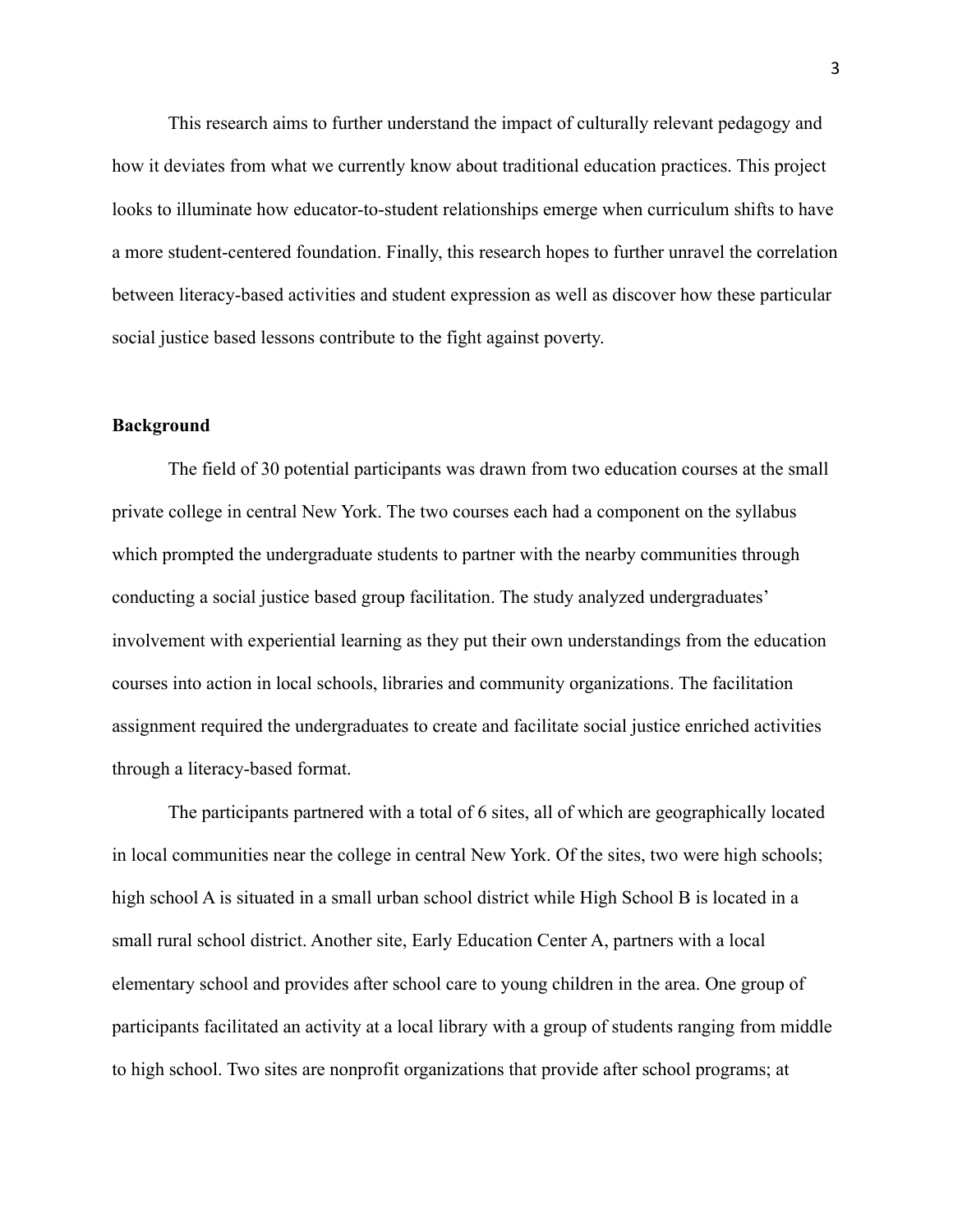This research aims to further understand the impact of culturally relevant pedagogy and how it deviates from what we currently know about traditional education practices. This project looks to illuminate how educator-to-student relationships emerge when curriculum shifts to have a more student-centered foundation. Finally, this research hopes to further unravel the correlation between literacy-based activities and student expression as well as discover how these particular social justice based lessons contribute to the fight against poverty.

#### **Background**

The field of 30 potential participants was drawn from two education courses at the small private college in central New York. The two courses each had a component on the syllabus which prompted the undergraduate students to partner with the nearby communities through conducting a social justice based group facilitation. The study analyzed undergraduates' involvement with experiential learning as they put their own understandings from the education courses into action in local schools, libraries and community organizations. The facilitation assignment required the undergraduates to create and facilitate social justice enriched activities through a literacy-based format.

The participants partnered with a total of 6 sites, all of which are geographically located in local communities near the college in central New York. Of the sites, two were high schools; high school A is situated in a small urban school district while High School B is located in a small rural school district. Another site, Early Education Center A, partners with a local elementary school and provides after school care to young children in the area. One group of participants facilitated an activity at a local library with a group of students ranging from middle to high school. Two sites are nonprofit organizations that provide after school programs; at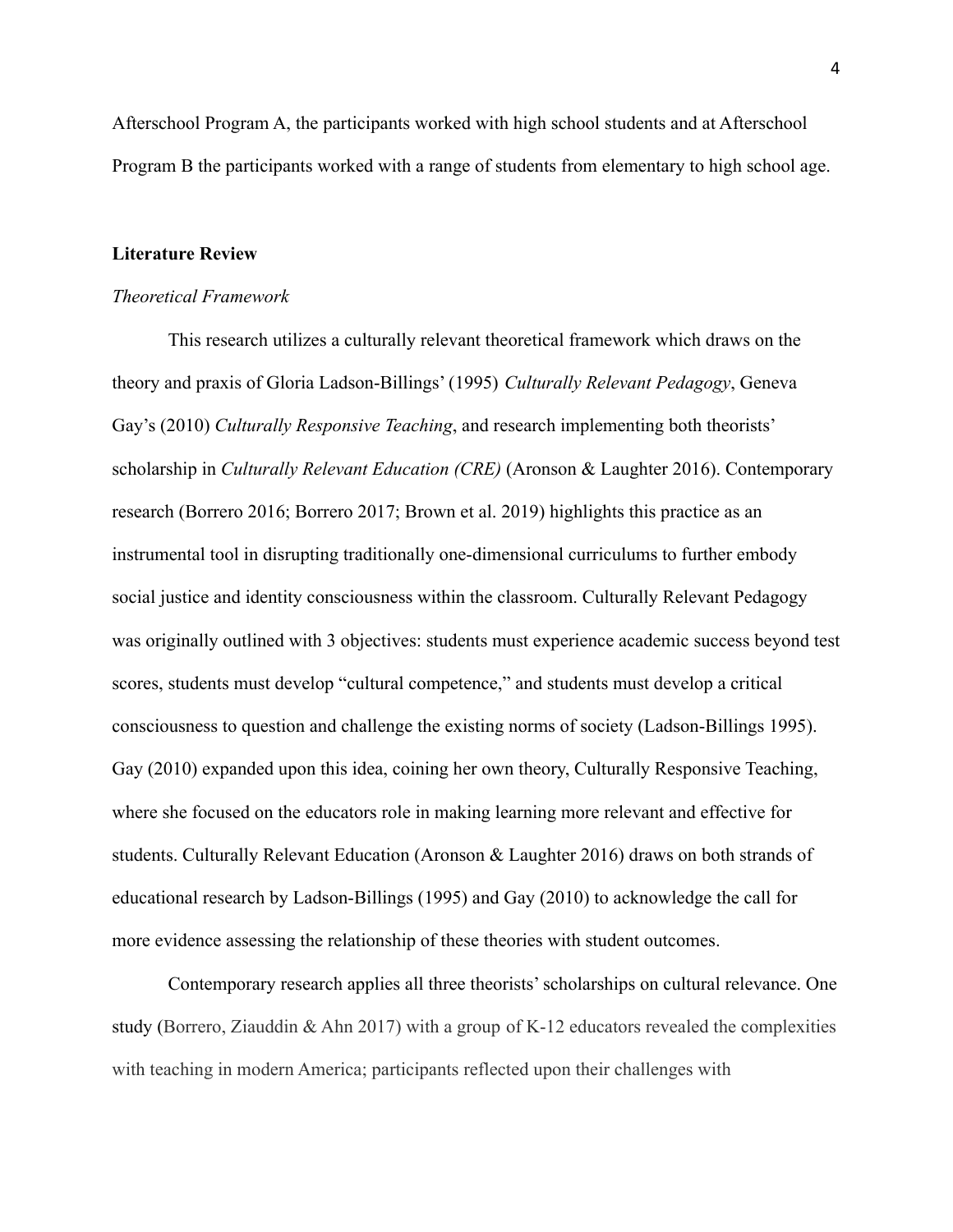Afterschool Program A, the participants worked with high school students and at Afterschool Program B the participants worked with a range of students from elementary to high school age.

#### **Literature Review**

#### *Theoretical Framework*

This research utilizes a culturally relevant theoretical framework which draws on the theory and praxis of Gloria Ladson-Billings' (1995) *Culturally Relevant Pedagogy*, Geneva Gay's (2010) *Culturally Responsive Teaching*, and research implementing both theorists' scholarship in *Culturally Relevant Education (CRE)* (Aronson & Laughter 2016). Contemporary research (Borrero 2016; Borrero 2017; Brown et al. 2019) highlights this practice as an instrumental tool in disrupting traditionally one-dimensional curriculums to further embody social justice and identity consciousness within the classroom. Culturally Relevant Pedagogy was originally outlined with 3 objectives: students must experience academic success beyond test scores, students must develop "cultural competence," and students must develop a critical consciousness to question and challenge the existing norms of society (Ladson-Billings 1995). Gay (2010) expanded upon this idea, coining her own theory, Culturally Responsive Teaching, where she focused on the educators role in making learning more relevant and effective for students. Culturally Relevant Education (Aronson & Laughter 2016) draws on both strands of educational research by Ladson-Billings (1995) and Gay (2010) to acknowledge the call for more evidence assessing the relationship of these theories with student outcomes.

Contemporary research applies all three theorists' scholarships on cultural relevance. One study (Borrero, Ziauddin & Ahn 2017) with a group of K-12 educators revealed the complexities with teaching in modern America; participants reflected upon their challenges with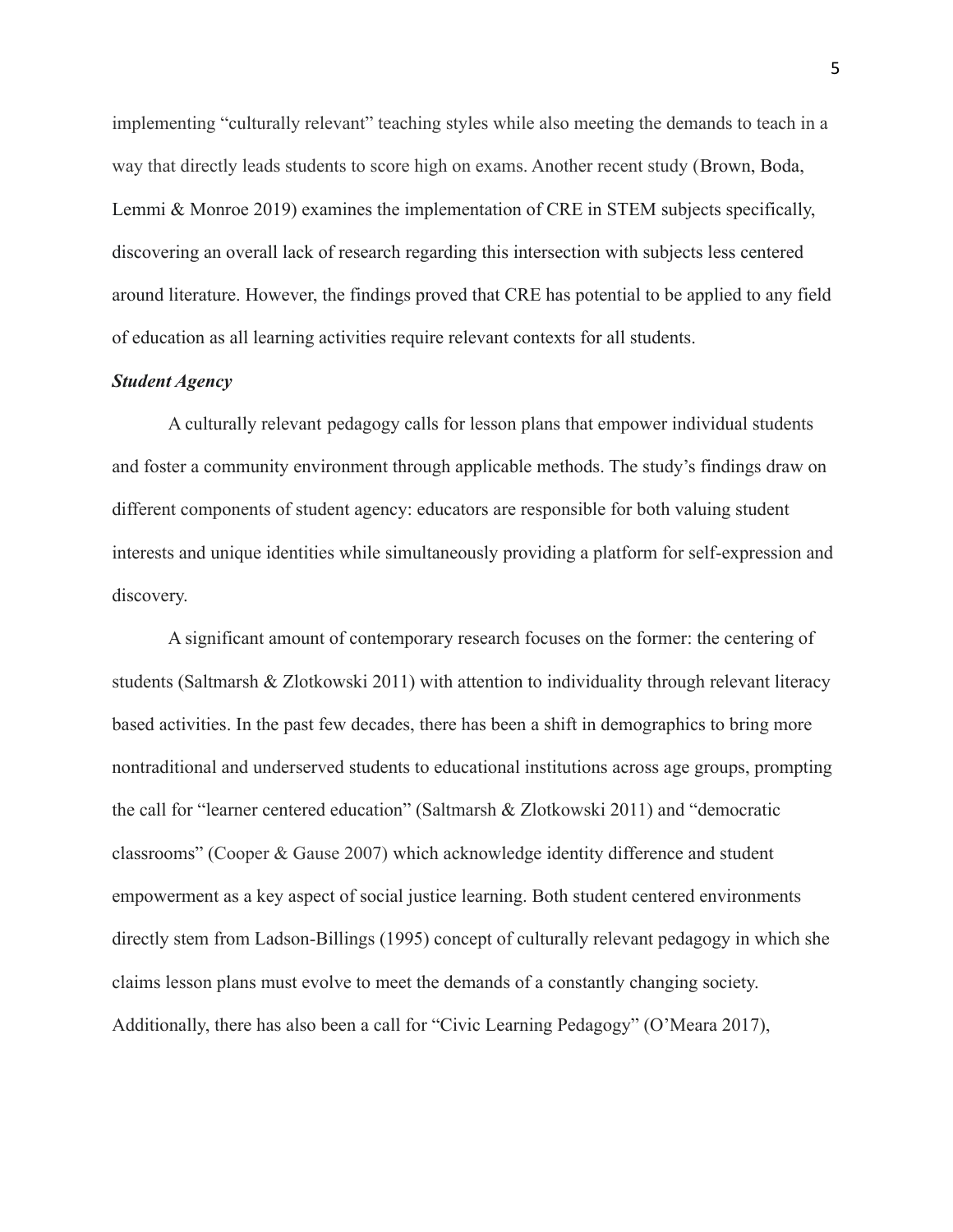implementing "culturally relevant" teaching styles while also meeting the demands to teach in a way that directly leads students to score high on exams. Another recent study (Brown, Boda, Lemmi & Monroe 2019) examines the implementation of CRE in STEM subjects specifically, discovering an overall lack of research regarding this intersection with subjects less centered around literature. However, the findings proved that CRE has potential to be applied to any field of education as all learning activities require relevant contexts for all students.

#### *Student Agency*

A culturally relevant pedagogy calls for lesson plans that empower individual students and foster a community environment through applicable methods. The study's findings draw on different components of student agency: educators are responsible for both valuing student interests and unique identities while simultaneously providing a platform for self-expression and discovery.

A significant amount of contemporary research focuses on the former: the centering of students (Saltmarsh & Zlotkowski 2011) with attention to individuality through relevant literacy based activities. In the past few decades, there has been a shift in demographics to bring more nontraditional and underserved students to educational institutions across age groups, prompting the call for "learner centered education" (Saltmarsh & Zlotkowski 2011) and "democratic classrooms" (Cooper & Gause 2007) which acknowledge identity difference and student empowerment as a key aspect of social justice learning. Both student centered environments directly stem from Ladson-Billings (1995) concept of culturally relevant pedagogy in which she claims lesson plans must evolve to meet the demands of a constantly changing society. Additionally, there has also been a call for "Civic Learning Pedagogy" (O'Meara 2017),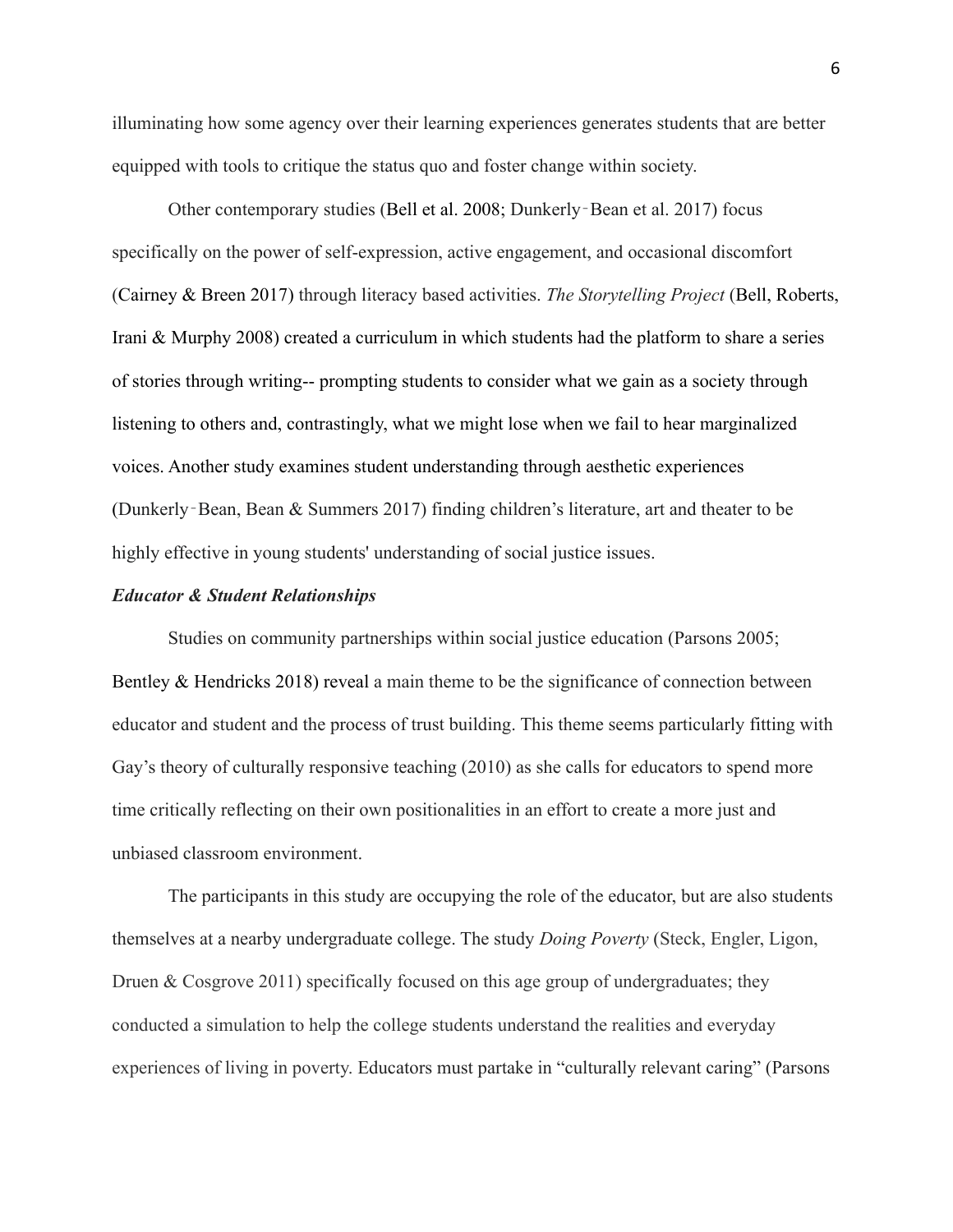illuminating how some agency over their learning experiences generates students that are better equipped with tools to critique the status quo and foster change within society.

Other contemporary studies (Bell et al. 2008; Dunkerly‐Bean et al. 2017) focus specifically on the power of self-expression, active engagement, and occasional discomfort (Cairney & Breen 2017) through literacy based activities. *The Storytelling Project* (Bell, Roberts, Irani & Murphy 2008) created a curriculum in which students had the platform to share a series of stories through writing-- prompting students to consider what we gain as a society through listening to others and, contrastingly, what we might lose when we fail to hear marginalized voices. Another study examines student understanding through aesthetic experiences (Dunkerly‐Bean, Bean & Summers 2017) finding children's literature, art and theater to be highly effective in young students' understanding of social justice issues.

#### *Educator & Student Relationships*

Studies on community partnerships within social justice education (Parsons 2005; Bentley & Hendricks 2018) reveal a main theme to be the significance of connection between educator and student and the process of trust building. This theme seems particularly fitting with Gay's theory of culturally responsive teaching (2010) as she calls for educators to spend more time critically reflecting on their own positionalities in an effort to create a more just and unbiased classroom environment.

The participants in this study are occupying the role of the educator, but are also students themselves at a nearby undergraduate college. The study *Doing Poverty* (Steck, Engler, Ligon, Druen & Cosgrove 2011) specifically focused on this age group of undergraduates; they conducted a simulation to help the college students understand the realities and everyday experiences of living in poverty. Educators must partake in "culturally relevant caring" (Parsons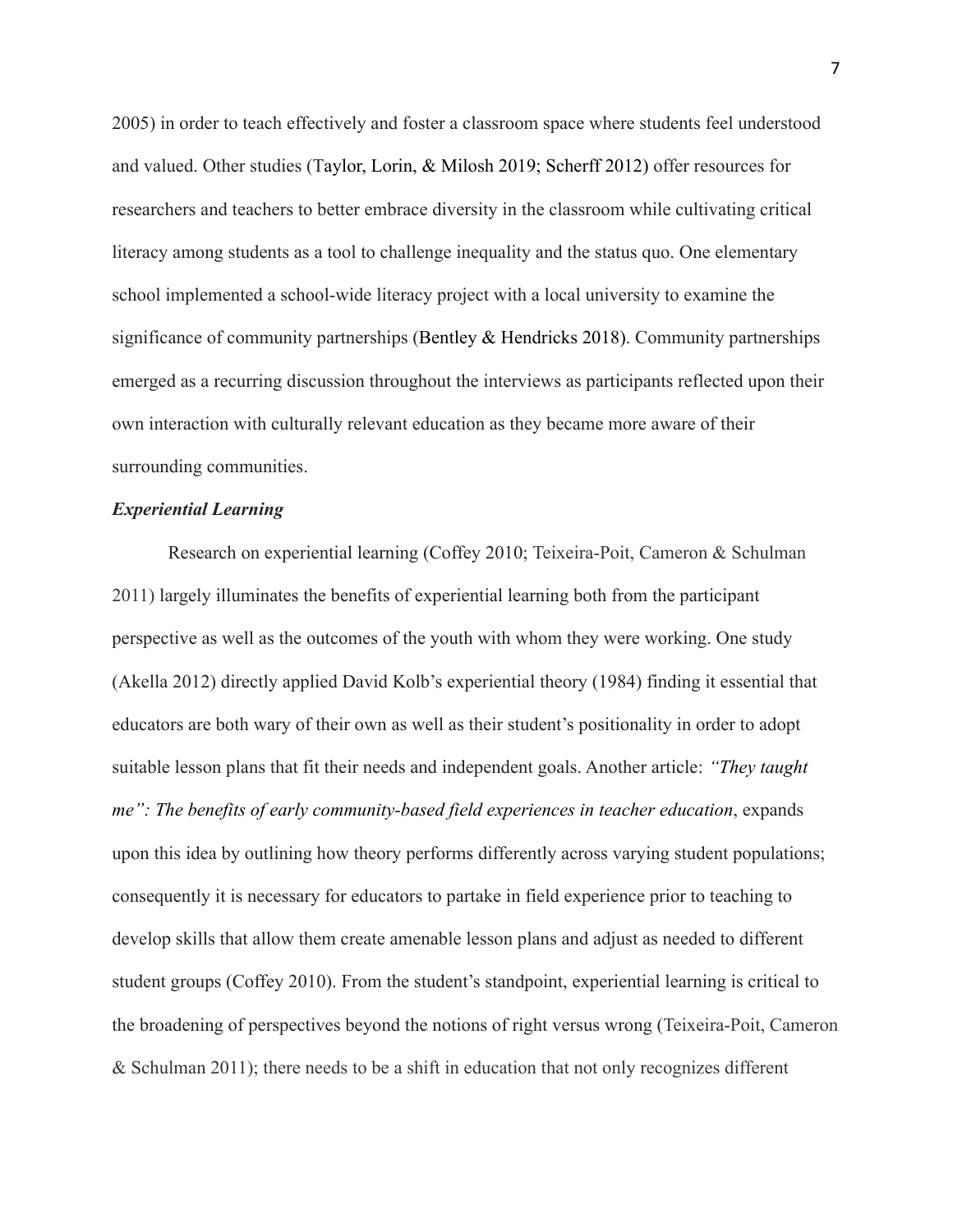2005) in order to teach effectively and foster a classroom space where students feel understood and valued. Other studies (Taylor, Lorin, & Milosh 2019; Scherff 2012) offer resources for researchers and teachers to better embrace diversity in the classroom while cultivating critical literacy among students as a tool to challenge inequality and the status quo. One elementary school implemented a school-wide literacy project with a local university to examine the significance of community partnerships (Bentley & Hendricks 2018). Community partnerships emerged as a recurring discussion throughout the interviews as participants reflected upon their own interaction with culturally relevant education as they became more aware of their surrounding communities.

#### *Experiential Learning*

Research on experiential learning (Coffey 2010; Teixeira-Poit, Cameron & Schulman 2011) largely illuminates the benefits of experiential learning both from the participant perspective as well as the outcomes of the youth with whom they were working. One study (Akella 2012) directly applied David Kolb's experiential theory (1984) finding it essential that educators are both wary of their own as well as their student's positionality in order to adopt suitable lesson plans that fit their needs and independent goals. Another article: *"They taught me": The benefits of early community-based field experiences in teacher education*, expands upon this idea by outlining how theory performs differently across varying student populations; consequently it is necessary for educators to partake in field experience prior to teaching to develop skills that allow them create amenable lesson plans and adjust as needed to different student groups (Coffey 2010). From the student's standpoint, experiential learning is critical to the broadening of perspectives beyond the notions of right versus wrong (Teixeira-Poit, Cameron & Schulman 2011); there needs to be a shift in education that not only recognizes different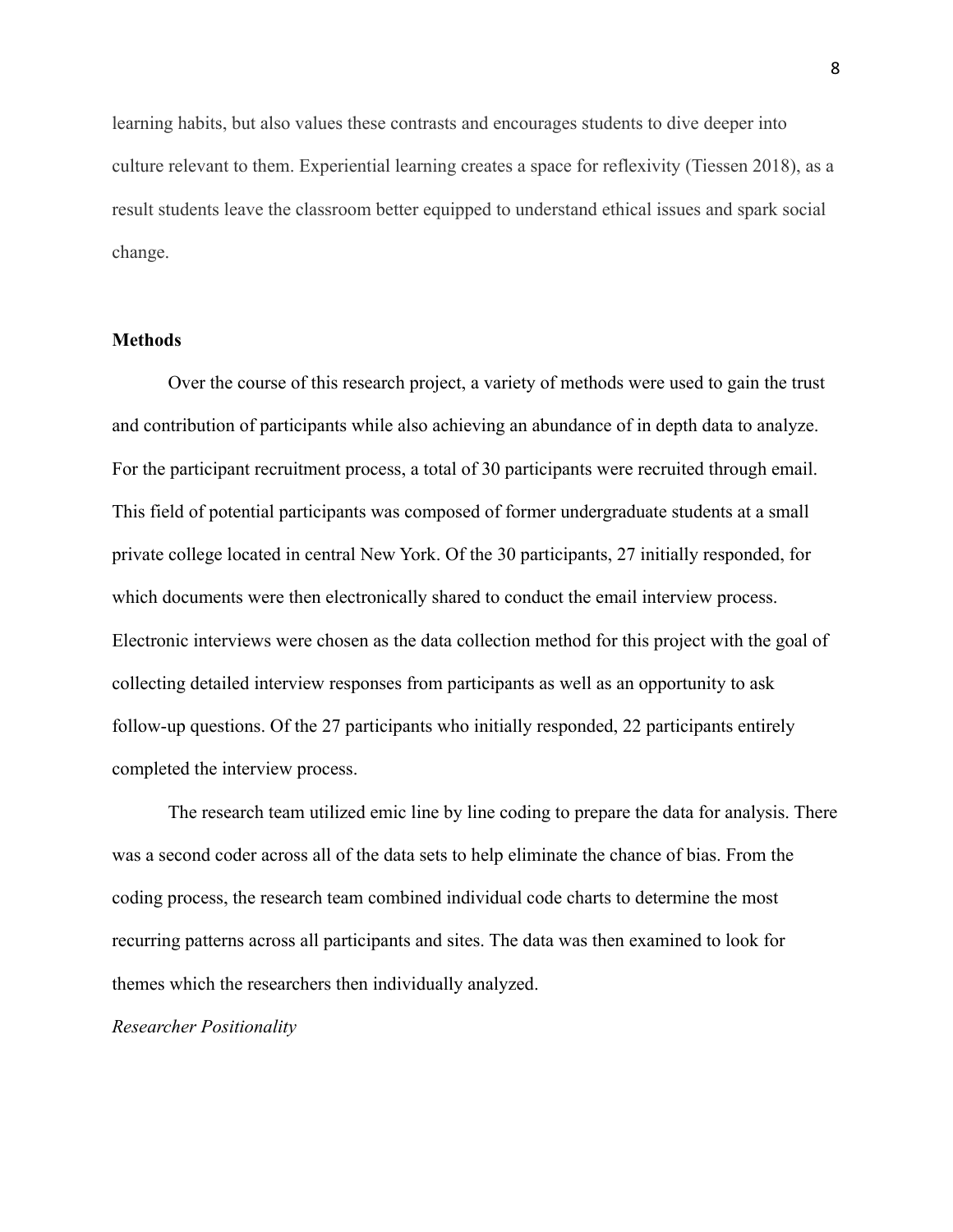learning habits, but also values these contrasts and encourages students to dive deeper into culture relevant to them. Experiential learning creates a space for reflexivity (Tiessen 2018), as a result students leave the classroom better equipped to understand ethical issues and spark social change.

#### **Methods**

Over the course of this research project, a variety of methods were used to gain the trust and contribution of participants while also achieving an abundance of in depth data to analyze. For the participant recruitment process, a total of 30 participants were recruited through email. This field of potential participants was composed of former undergraduate students at a small private college located in central New York. Of the 30 participants, 27 initially responded, for which documents were then electronically shared to conduct the email interview process. Electronic interviews were chosen as the data collection method for this project with the goal of collecting detailed interview responses from participants as well as an opportunity to ask follow-up questions. Of the 27 participants who initially responded, 22 participants entirely completed the interview process.

The research team utilized emic line by line coding to prepare the data for analysis. There was a second coder across all of the data sets to help eliminate the chance of bias. From the coding process, the research team combined individual code charts to determine the most recurring patterns across all participants and sites. The data was then examined to look for themes which the researchers then individually analyzed.

#### *Researcher Positionality*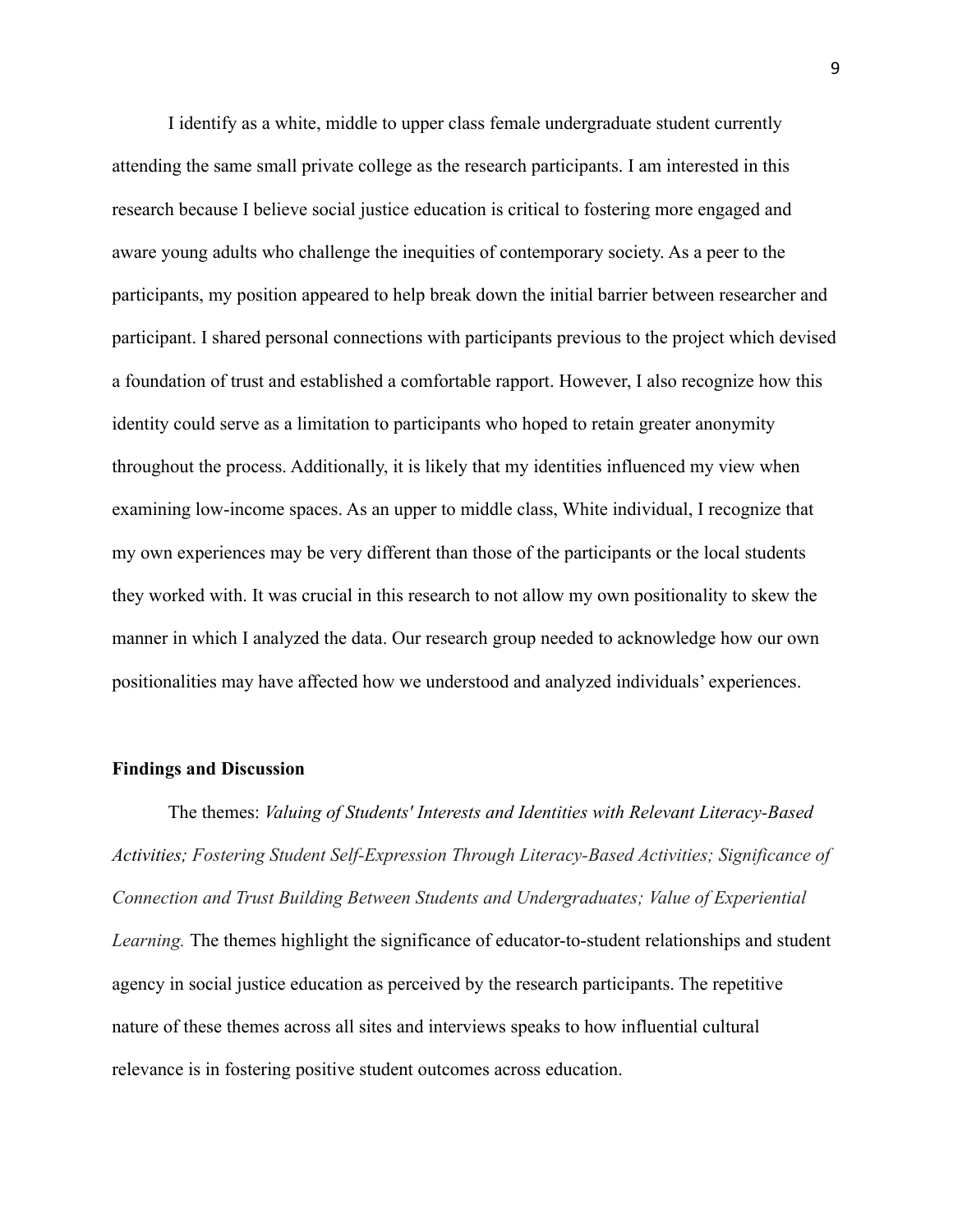I identify as a white, middle to upper class female undergraduate student currently attending the same small private college as the research participants. I am interested in this research because I believe social justice education is critical to fostering more engaged and aware young adults who challenge the inequities of contemporary society. As a peer to the participants, my position appeared to help break down the initial barrier between researcher and participant. I shared personal connections with participants previous to the project which devised a foundation of trust and established a comfortable rapport. However, I also recognize how this identity could serve as a limitation to participants who hoped to retain greater anonymity throughout the process. Additionally, it is likely that my identities influenced my view when examining low-income spaces. As an upper to middle class, White individual, I recognize that my own experiences may be very different than those of the participants or the local students they worked with. It was crucial in this research to not allow my own positionality to skew the manner in which I analyzed the data. Our research group needed to acknowledge how our own positionalities may have affected how we understood and analyzed individuals' experiences.

#### **Findings and Discussion**

The themes: *Valuing of Students' Interests and Identities with Relevant Literacy-Based Activities; Fostering Student Self-Expression Through Literacy-Based Activities; Significance of Connection and Trust Building Between Students and Undergraduates; Value of Experiential Learning.* The themes highlight the significance of educator-to-student relationships and student agency in social justice education as perceived by the research participants. The repetitive nature of these themes across all sites and interviews speaks to how influential cultural relevance is in fostering positive student outcomes across education.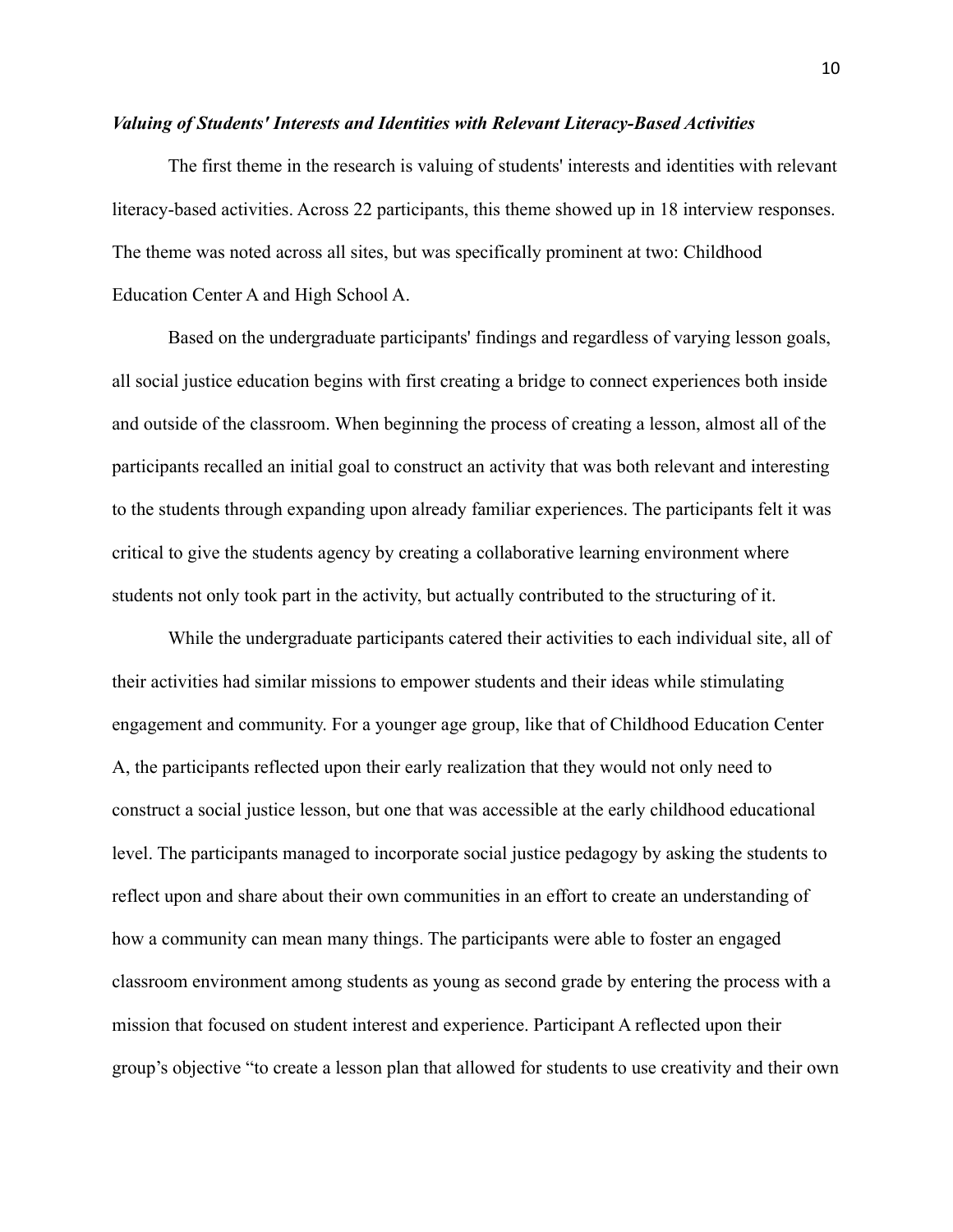#### *Valuing of Students' Interests and Identities with Relevant Literacy-Based Activities*

The first theme in the research is valuing of students' interests and identities with relevant literacy-based activities. Across 22 participants, this theme showed up in 18 interview responses. The theme was noted across all sites, but was specifically prominent at two: Childhood Education Center A and High School A.

Based on the undergraduate participants' findings and regardless of varying lesson goals, all social justice education begins with first creating a bridge to connect experiences both inside and outside of the classroom. When beginning the process of creating a lesson, almost all of the participants recalled an initial goal to construct an activity that was both relevant and interesting to the students through expanding upon already familiar experiences. The participants felt it was critical to give the students agency by creating a collaborative learning environment where students not only took part in the activity, but actually contributed to the structuring of it.

While the undergraduate participants catered their activities to each individual site, all of their activities had similar missions to empower students and their ideas while stimulating engagement and community. For a younger age group, like that of Childhood Education Center A, the participants reflected upon their early realization that they would not only need to construct a social justice lesson, but one that was accessible at the early childhood educational level. The participants managed to incorporate social justice pedagogy by asking the students to reflect upon and share about their own communities in an effort to create an understanding of how a community can mean many things. The participants were able to foster an engaged classroom environment among students as young as second grade by entering the process with a mission that focused on student interest and experience. Participant A reflected upon their group's objective "to create a lesson plan that allowed for students to use creativity and their own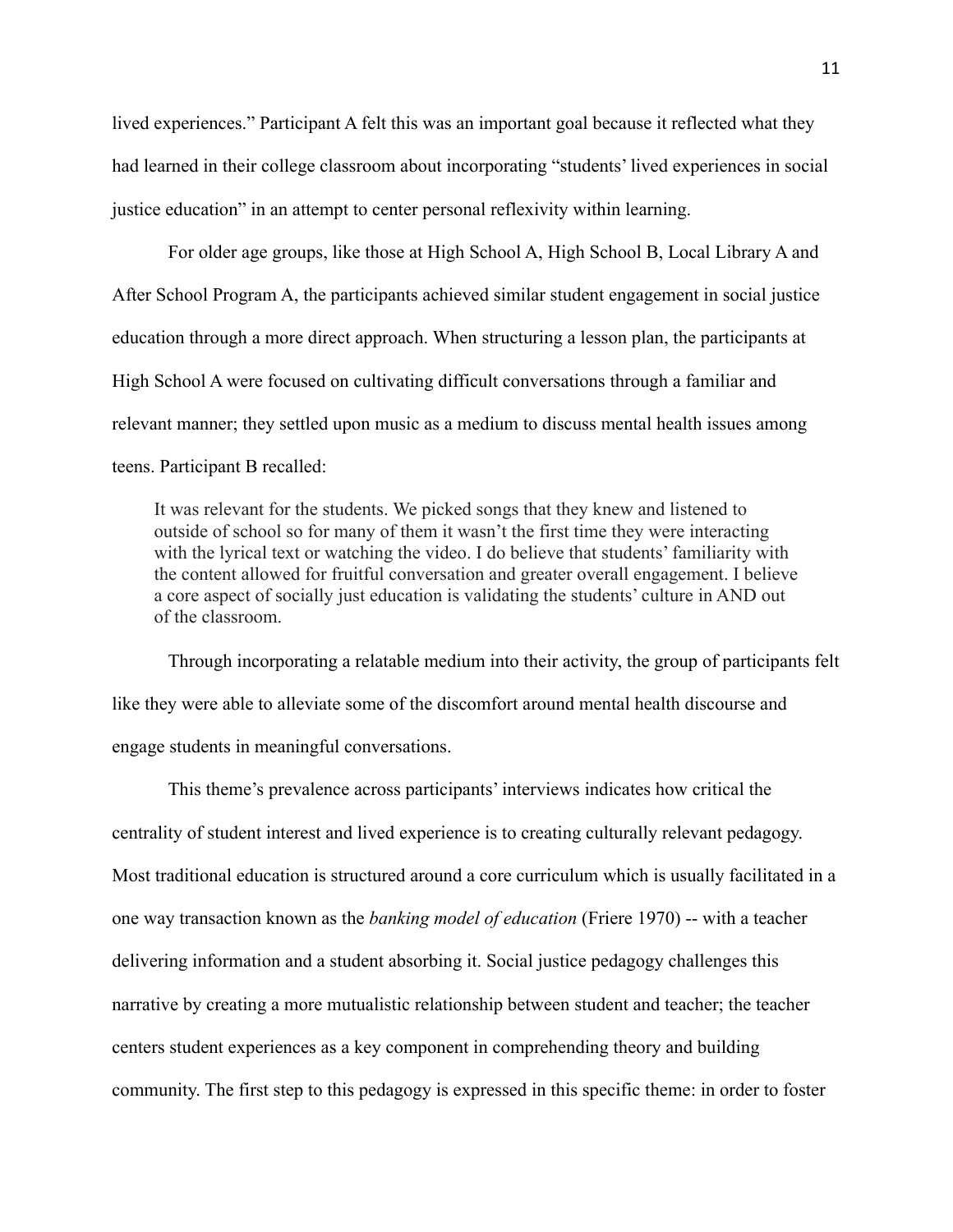lived experiences." Participant A felt this was an important goal because it reflected what they had learned in their college classroom about incorporating "students' lived experiences in social justice education" in an attempt to center personal reflexivity within learning.

For older age groups, like those at High School A, High School B, Local Library A and After School Program A, the participants achieved similar student engagement in social justice education through a more direct approach. When structuring a lesson plan, the participants at High School A were focused on cultivating difficult conversations through a familiar and relevant manner; they settled upon music as a medium to discuss mental health issues among teens. Participant B recalled:

It was relevant for the students. We picked songs that they knew and listened to outside of school so for many of them it wasn't the first time they were interacting with the lyrical text or watching the video. I do believe that students' familiarity with the content allowed for fruitful conversation and greater overall engagement. I believe a core aspect of socially just education is validating the students' culture in AND out of the classroom.

Through incorporating a relatable medium into their activity, the group of participants felt like they were able to alleviate some of the discomfort around mental health discourse and engage students in meaningful conversations.

This theme's prevalence across participants' interviews indicates how critical the centrality of student interest and lived experience is to creating culturally relevant pedagogy. Most traditional education is structured around a core curriculum which is usually facilitated in a one way transaction known as the *banking model of education* (Friere 1970) -- with a teacher delivering information and a student absorbing it. Social justice pedagogy challenges this narrative by creating a more mutualistic relationship between student and teacher; the teacher centers student experiences as a key component in comprehending theory and building community. The first step to this pedagogy is expressed in this specific theme: in order to foster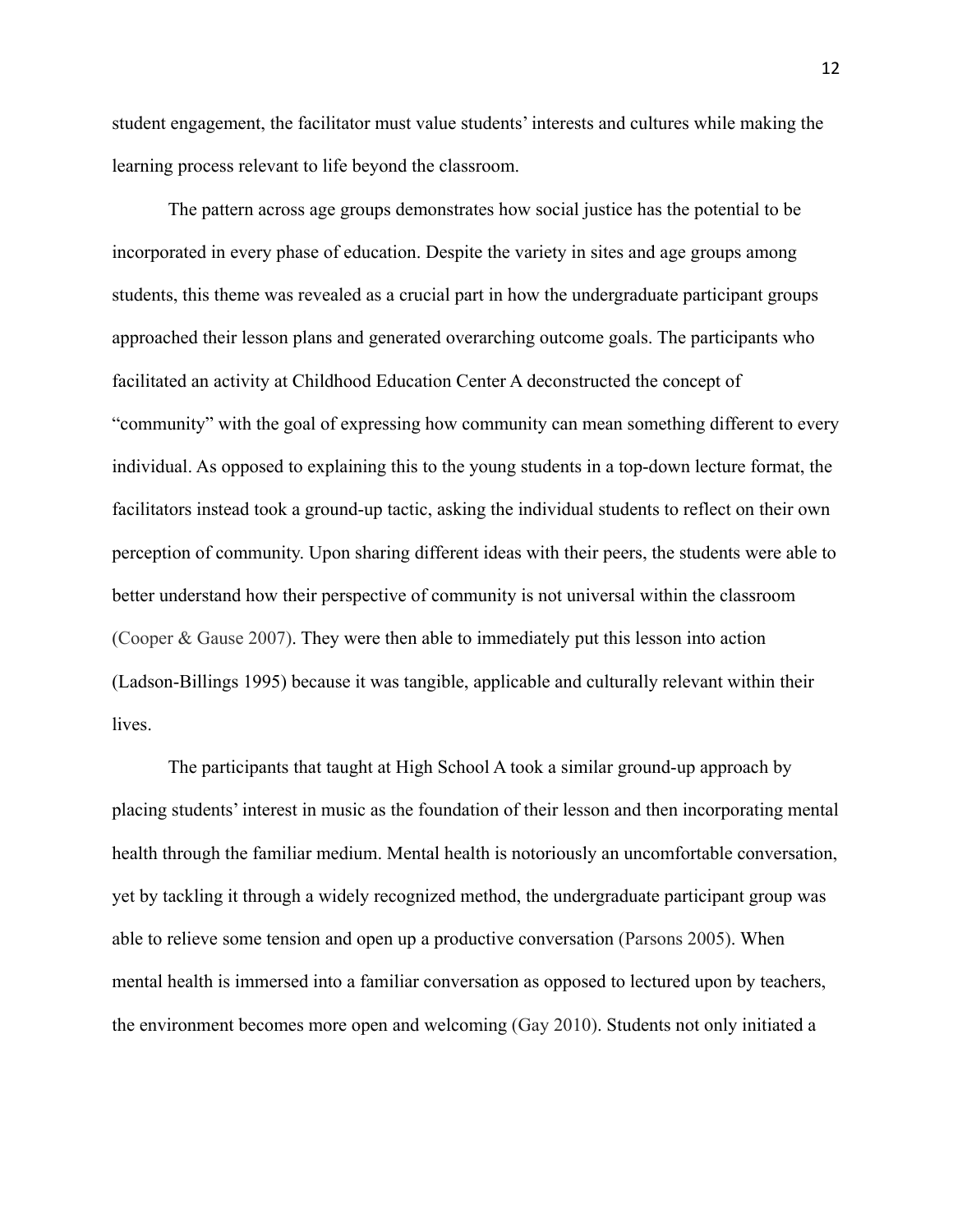student engagement, the facilitator must value students' interests and cultures while making the learning process relevant to life beyond the classroom.

The pattern across age groups demonstrates how social justice has the potential to be incorporated in every phase of education. Despite the variety in sites and age groups among students, this theme was revealed as a crucial part in how the undergraduate participant groups approached their lesson plans and generated overarching outcome goals. The participants who facilitated an activity at Childhood Education Center A deconstructed the concept of "community" with the goal of expressing how community can mean something different to every individual. As opposed to explaining this to the young students in a top-down lecture format, the facilitators instead took a ground-up tactic, asking the individual students to reflect on their own perception of community. Upon sharing different ideas with their peers, the students were able to better understand how their perspective of community is not universal within the classroom (Cooper & Gause 2007). They were then able to immediately put this lesson into action (Ladson-Billings 1995) because it was tangible, applicable and culturally relevant within their lives.

The participants that taught at High School A took a similar ground-up approach by placing students' interest in music as the foundation of their lesson and then incorporating mental health through the familiar medium. Mental health is notoriously an uncomfortable conversation, yet by tackling it through a widely recognized method, the undergraduate participant group was able to relieve some tension and open up a productive conversation (Parsons 2005). When mental health is immersed into a familiar conversation as opposed to lectured upon by teachers, the environment becomes more open and welcoming (Gay 2010). Students not only initiated a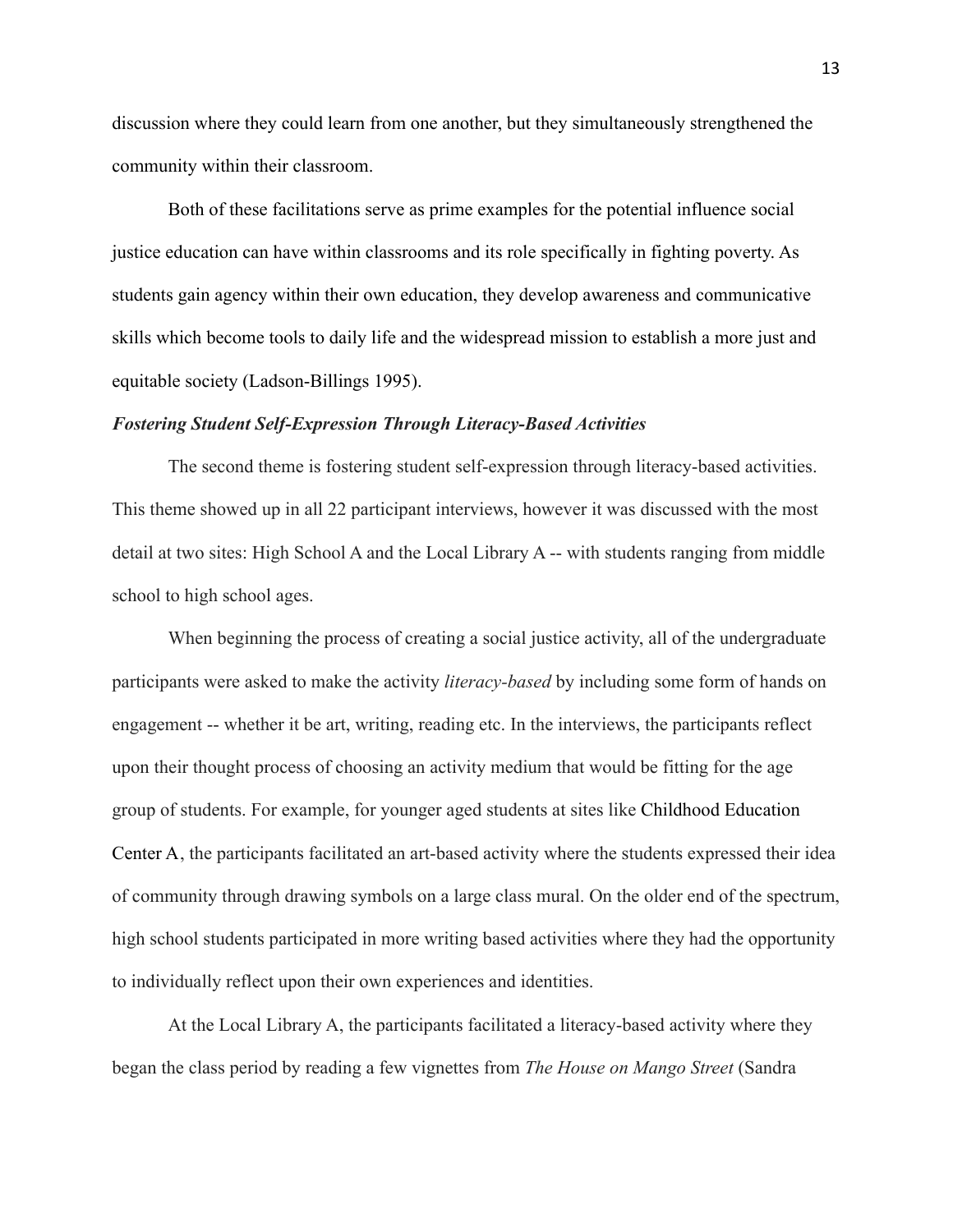discussion where they could learn from one another, but they simultaneously strengthened the community within their classroom.

Both of these facilitations serve as prime examples for the potential influence social justice education can have within classrooms and its role specifically in fighting poverty. As students gain agency within their own education, they develop awareness and communicative skills which become tools to daily life and the widespread mission to establish a more just and equitable society (Ladson-Billings 1995).

#### *Fostering Student Self-Expression Through Literacy-Based Activities*

The second theme is fostering student self-expression through literacy-based activities. This theme showed up in all 22 participant interviews, however it was discussed with the most detail at two sites: High School A and the Local Library A -- with students ranging from middle school to high school ages.

When beginning the process of creating a social justice activity, all of the undergraduate participants were asked to make the activity *literacy-based* by including some form of hands on engagement -- whether it be art, writing, reading etc. In the interviews, the participants reflect upon their thought process of choosing an activity medium that would be fitting for the age group of students. For example, for younger aged students at sites like Childhood Education Center A, the participants facilitated an art-based activity where the students expressed their idea of community through drawing symbols on a large class mural. On the older end of the spectrum, high school students participated in more writing based activities where they had the opportunity to individually reflect upon their own experiences and identities.

At the Local Library A, the participants facilitated a literacy-based activity where they began the class period by reading a few vignettes from *The House on Mango Street* (Sandra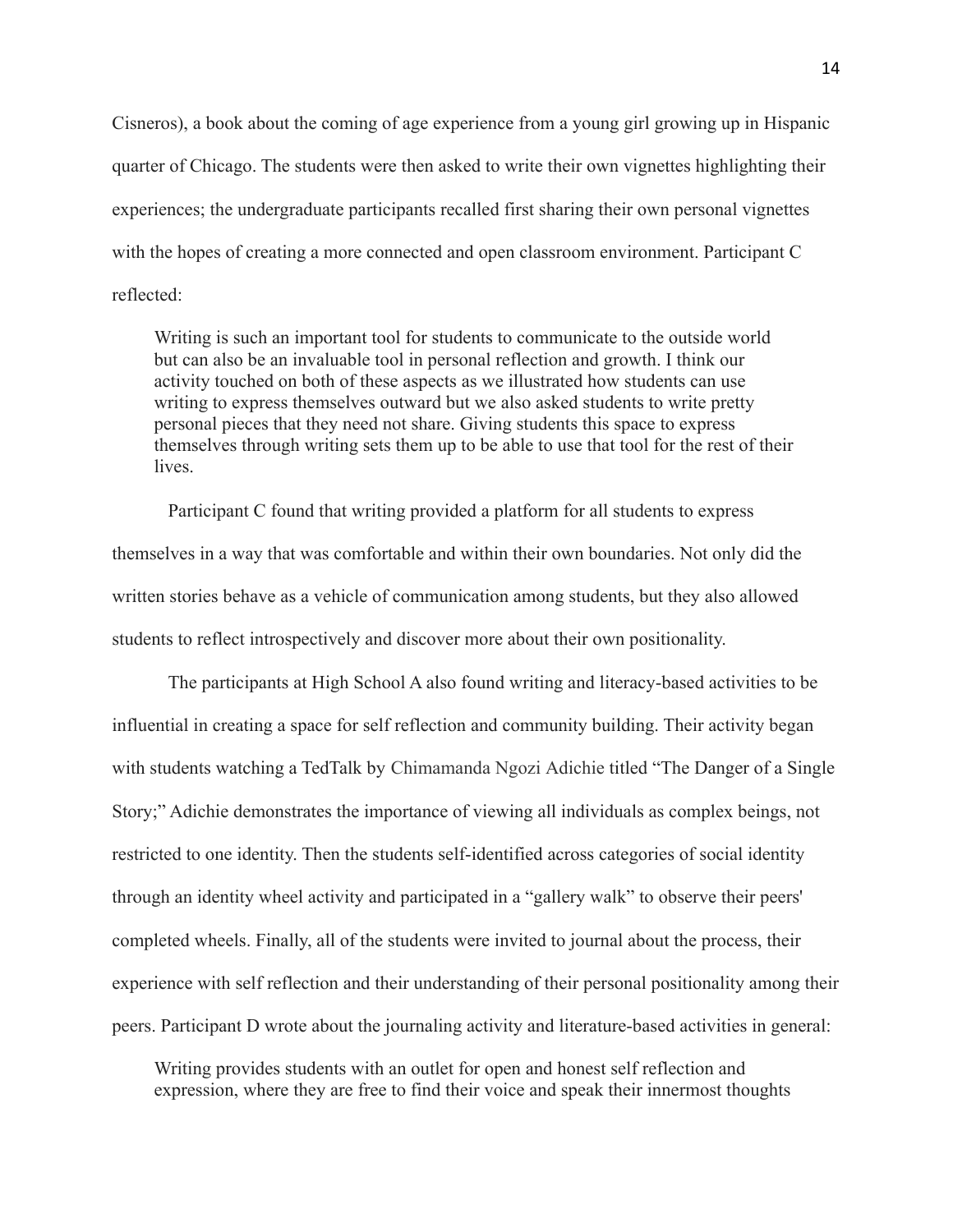Cisneros), a book about the coming of age experience from a young girl growing up in Hispanic quarter of Chicago. The students were then asked to write their own vignettes highlighting their experiences; the undergraduate participants recalled first sharing their own personal vignettes with the hopes of creating a more connected and open classroom environment. Participant C reflected:

Writing is such an important tool for students to communicate to the outside world but can also be an invaluable tool in personal reflection and growth. I think our activity touched on both of these aspects as we illustrated how students can use writing to express themselves outward but we also asked students to write pretty personal pieces that they need not share. Giving students this space to express themselves through writing sets them up to be able to use that tool for the rest of their lives.

Participant C found that writing provided a platform for all students to express themselves in a way that was comfortable and within their own boundaries. Not only did the written stories behave as a vehicle of communication among students, but they also allowed students to reflect introspectively and discover more about their own positionality.

The participants at High School A also found writing and literacy-based activities to be influential in creating a space for self reflection and community building. Their activity began with students watching a TedTalk by Chimamanda Ngozi Adichie titled "The Danger of a Single Story;" Adichie demonstrates the importance of viewing all individuals as complex beings, not restricted to one identity. Then the students self-identified across categories of social identity through an identity wheel activity and participated in a "gallery walk" to observe their peers' completed wheels. Finally, all of the students were invited to journal about the process, their experience with self reflection and their understanding of their personal positionality among their peers. Participant D wrote about the journaling activity and literature-based activities in general:

Writing provides students with an outlet for open and honest self reflection and expression, where they are free to find their voice and speak their innermost thoughts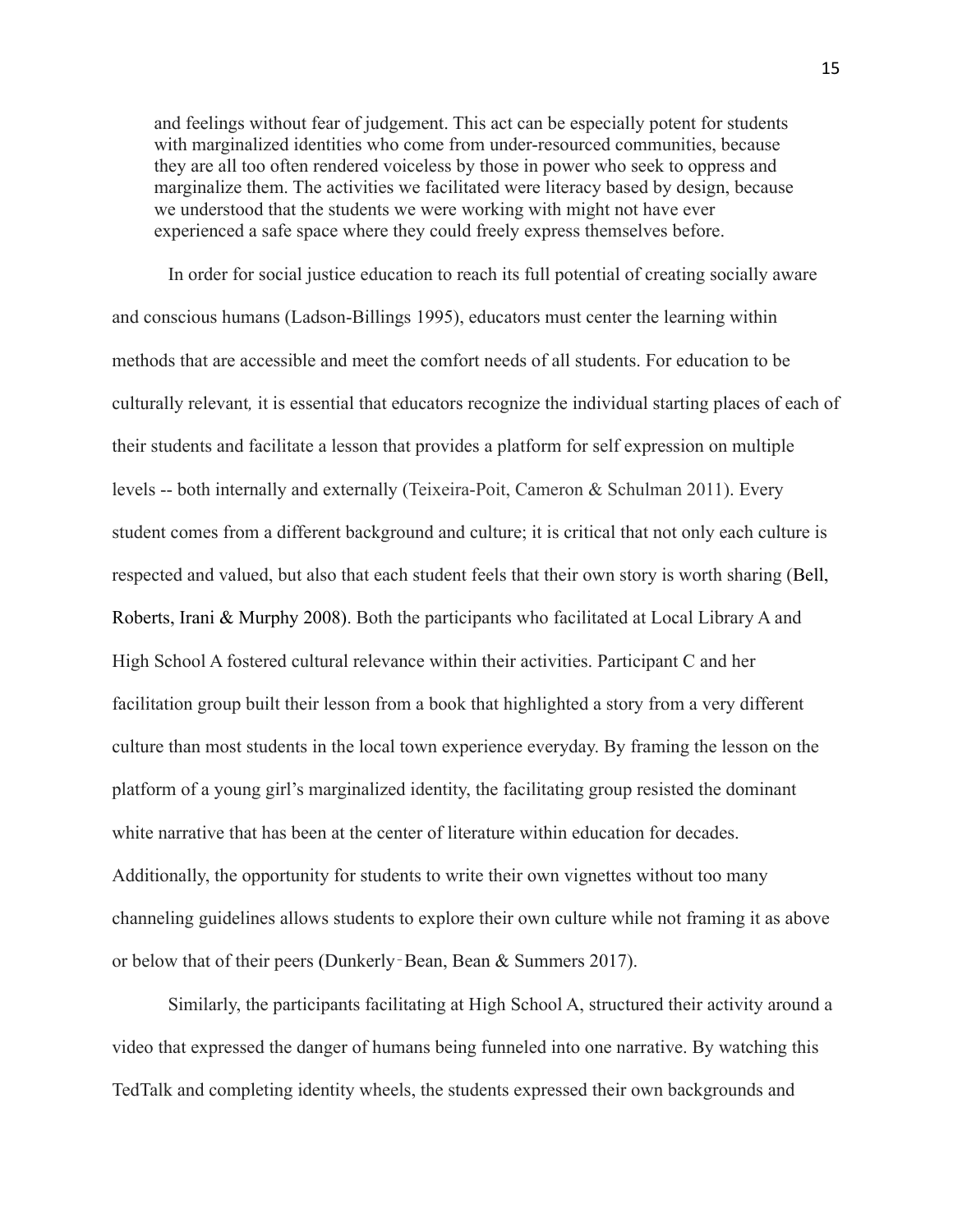and feelings without fear of judgement. This act can be especially potent for students with marginalized identities who come from under-resourced communities, because they are all too often rendered voiceless by those in power who seek to oppress and marginalize them. The activities we facilitated were literacy based by design, because we understood that the students we were working with might not have ever experienced a safe space where they could freely express themselves before.

In order for social justice education to reach its full potential of creating socially aware and conscious humans (Ladson-Billings 1995), educators must center the learning within methods that are accessible and meet the comfort needs of all students. For education to be culturally relevant*,* it is essential that educators recognize the individual starting places of each of their students and facilitate a lesson that provides a platform for self expression on multiple levels -- both internally and externally (Teixeira-Poit, Cameron & Schulman 2011). Every student comes from a different background and culture; it is critical that not only each culture is respected and valued, but also that each student feels that their own story is worth sharing (Bell, Roberts, Irani & Murphy 2008). Both the participants who facilitated at Local Library A and High School A fostered cultural relevance within their activities. Participant C and her facilitation group built their lesson from a book that highlighted a story from a very different culture than most students in the local town experience everyday. By framing the lesson on the platform of a young girl's marginalized identity, the facilitating group resisted the dominant white narrative that has been at the center of literature within education for decades. Additionally, the opportunity for students to write their own vignettes without too many channeling guidelines allows students to explore their own culture while not framing it as above or below that of their peers (Dunkerly‐Bean, Bean & Summers 2017).

Similarly, the participants facilitating at High School A, structured their activity around a video that expressed the danger of humans being funneled into one narrative. By watching this TedTalk and completing identity wheels, the students expressed their own backgrounds and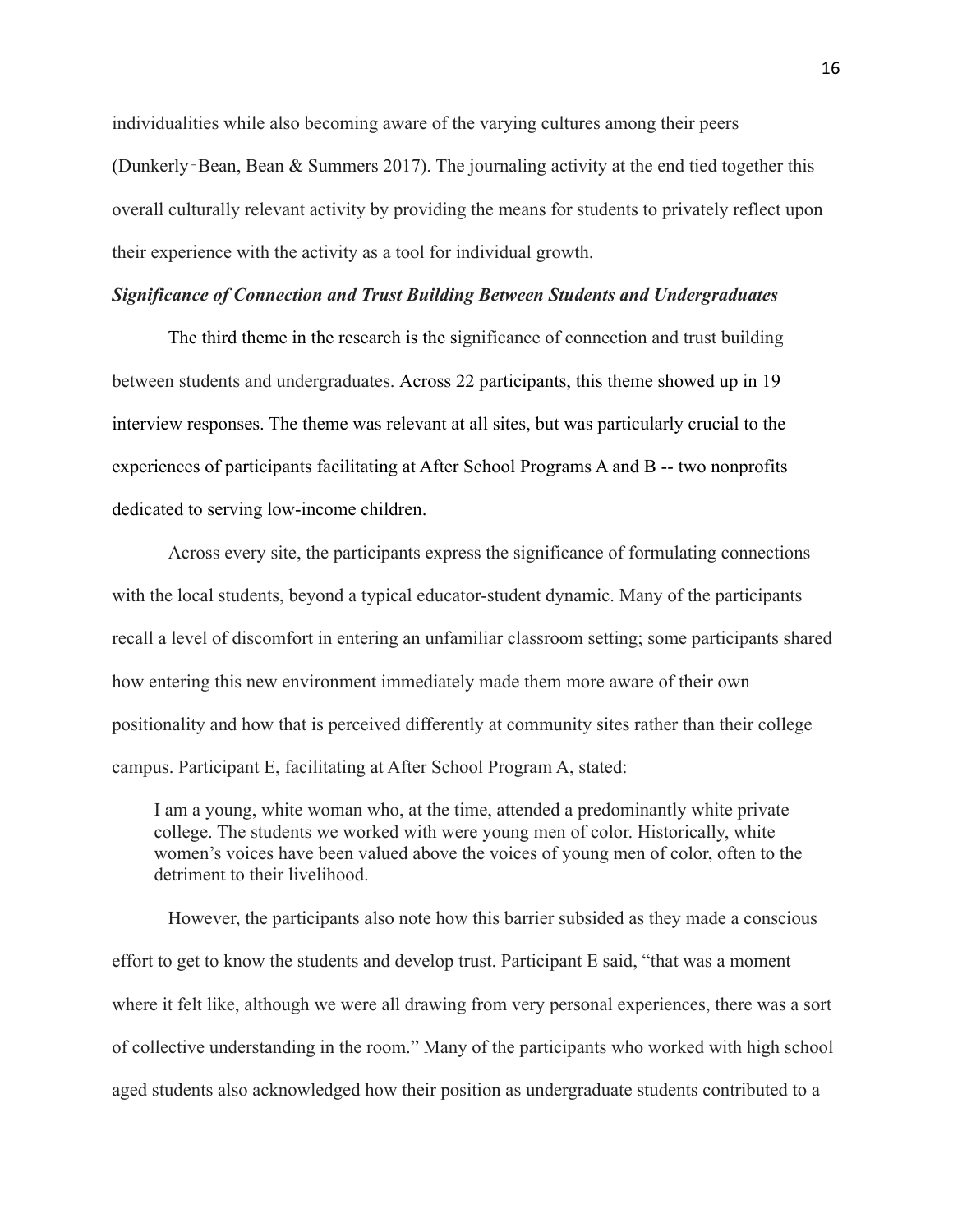individualities while also becoming aware of the varying cultures among their peers (Dunkerly–Bean, Bean  $\&$  Summers 2017). The journaling activity at the end tied together this overall culturally relevant activity by providing the means for students to privately reflect upon their experience with the activity as a tool for individual growth.

#### *Significance of Connection and Trust Building Between Students and Undergraduates*

The third theme in the research is the significance of connection and trust building between students and undergraduates. Across 22 participants, this theme showed up in 19 interview responses. The theme was relevant at all sites, but was particularly crucial to the experiences of participants facilitating at After School Programs A and B -- two nonprofits dedicated to serving low-income children.

Across every site, the participants express the significance of formulating connections with the local students, beyond a typical educator-student dynamic. Many of the participants recall a level of discomfort in entering an unfamiliar classroom setting; some participants shared how entering this new environment immediately made them more aware of their own positionality and how that is perceived differently at community sites rather than their college campus. Participant E, facilitating at After School Program A, stated:

I am a young, white woman who, at the time, attended a predominantly white private college. The students we worked with were young men of color. Historically, white women's voices have been valued above the voices of young men of color, often to the detriment to their livelihood.

However, the participants also note how this barrier subsided as they made a conscious effort to get to know the students and develop trust. Participant E said, "that was a moment where it felt like, although we were all drawing from very personal experiences, there was a sort of collective understanding in the room." Many of the participants who worked with high school aged students also acknowledged how their position as undergraduate students contributed to a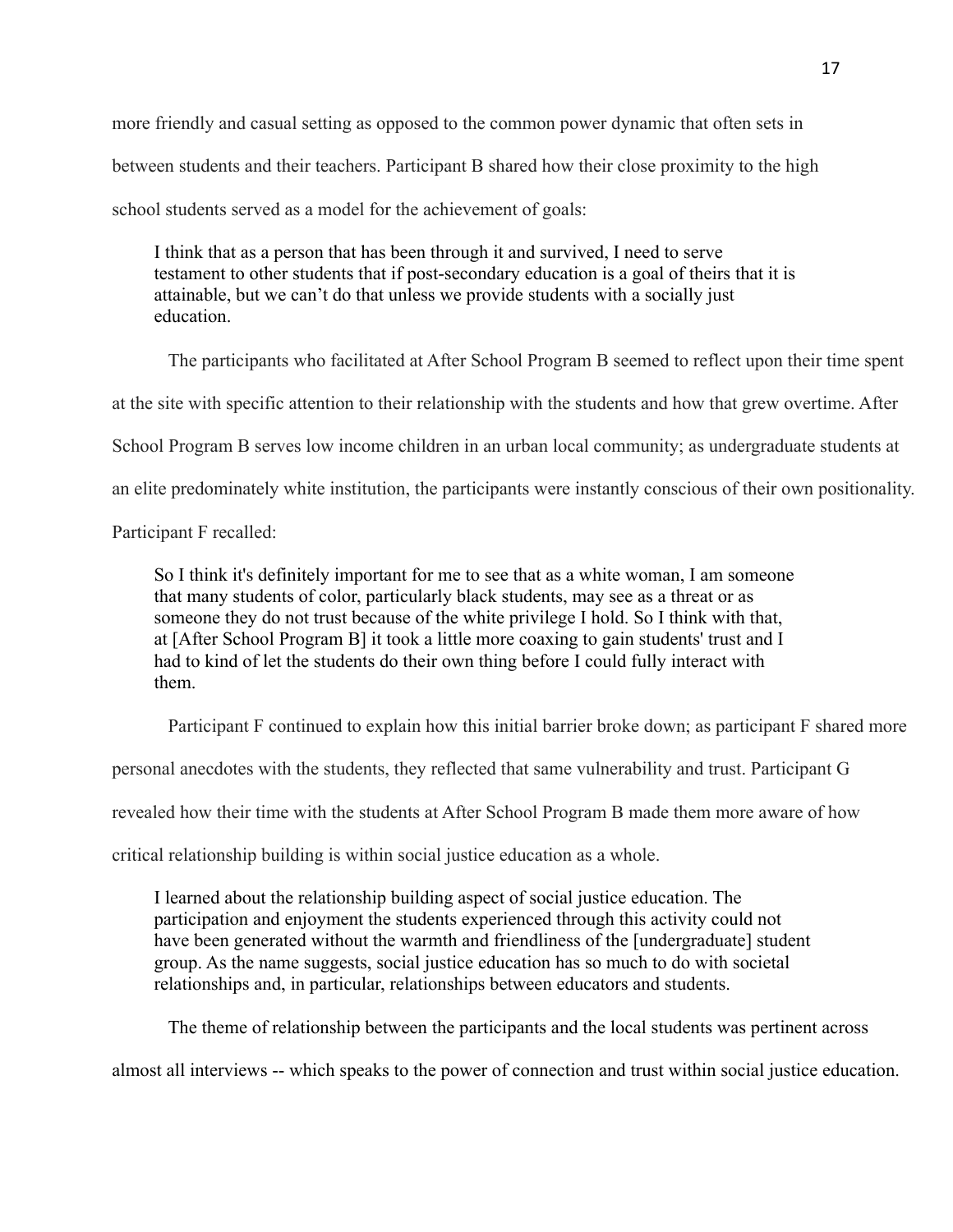more friendly and casual setting as opposed to the common power dynamic that often sets in between students and their teachers. Participant B shared how their close proximity to the high school students served as a model for the achievement of goals:

I think that as a person that has been through it and survived, I need to serve testament to other students that if post-secondary education is a goal of theirs that it is attainable, but we can't do that unless we provide students with a socially just education.

The participants who facilitated at After School Program B seemed to reflect upon their time spent at the site with specific attention to their relationship with the students and how that grew overtime. After School Program B serves low income children in an urban local community; as undergraduate students at an elite predominately white institution, the participants were instantly conscious of their own positionality. Participant F recalled:

So I think it's definitely important for me to see that as a white woman, I am someone that many students of color, particularly black students, may see as a threat or as someone they do not trust because of the white privilege I hold. So I think with that, at [After School Program B] it took a little more coaxing to gain students' trust and I had to kind of let the students do their own thing before I could fully interact with them.

Participant F continued to explain how this initial barrier broke down; as participant F shared more

personal anecdotes with the students, they reflected that same vulnerability and trust. Participant G

revealed how their time with the students at After School Program B made them more aware of how

critical relationship building is within social justice education as a whole.

I learned about the relationship building aspect of social justice education. The participation and enjoyment the students experienced through this activity could not have been generated without the warmth and friendliness of the [undergraduate] student group. As the name suggests, social justice education has so much to do with societal relationships and, in particular, relationships between educators and students.

The theme of relationship between the participants and the local students was pertinent across

almost all interviews -- which speaks to the power of connection and trust within social justice education.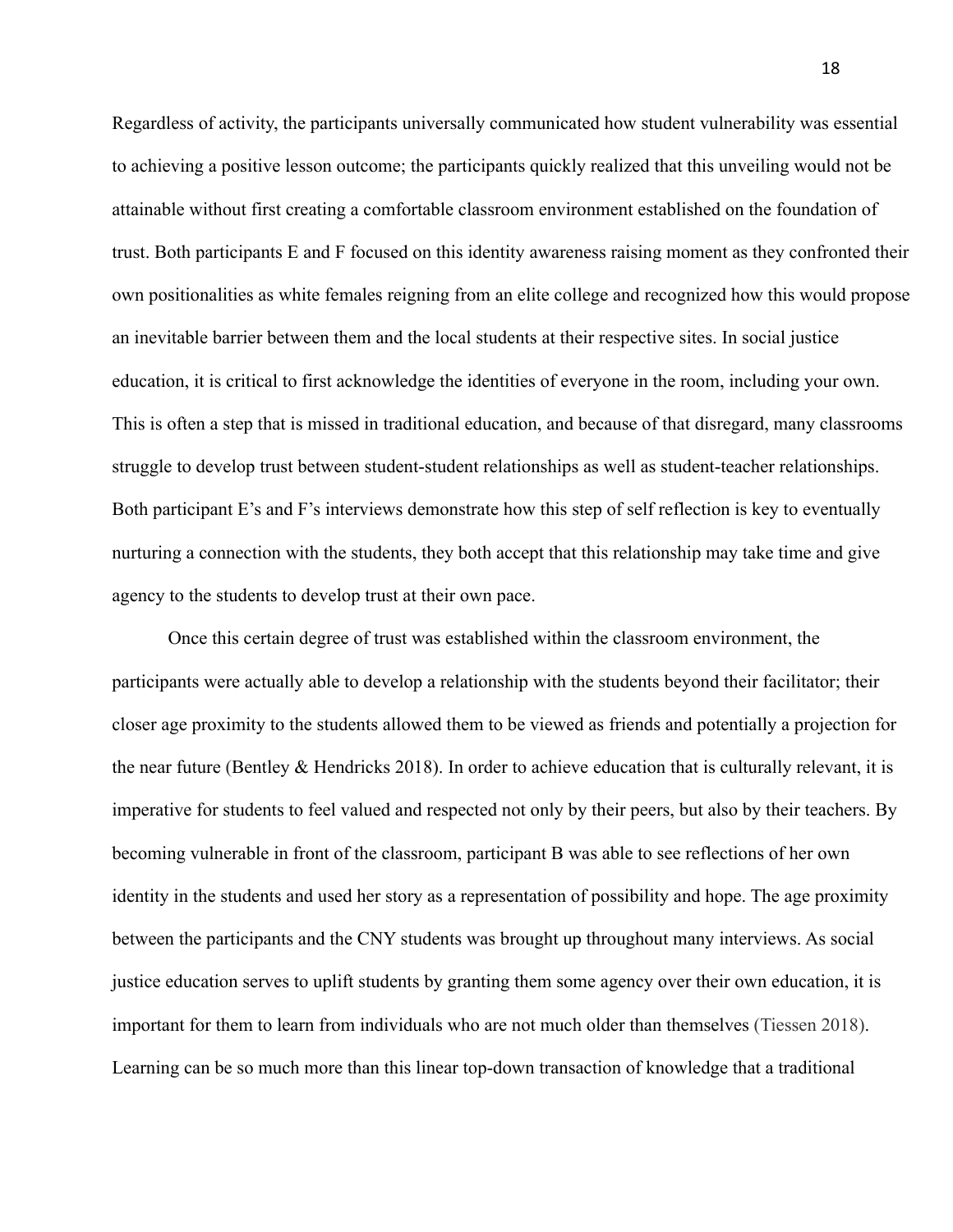Regardless of activity, the participants universally communicated how student vulnerability was essential to achieving a positive lesson outcome; the participants quickly realized that this unveiling would not be attainable without first creating a comfortable classroom environment established on the foundation of trust. Both participants E and F focused on this identity awareness raising moment as they confronted their own positionalities as white females reigning from an elite college and recognized how this would propose an inevitable barrier between them and the local students at their respective sites. In social justice education, it is critical to first acknowledge the identities of everyone in the room, including your own. This is often a step that is missed in traditional education, and because of that disregard, many classrooms struggle to develop trust between student-student relationships as well as student-teacher relationships. Both participant E's and F's interviews demonstrate how this step of self reflection is key to eventually nurturing a connection with the students, they both accept that this relationship may take time and give agency to the students to develop trust at their own pace.

Once this certain degree of trust was established within the classroom environment, the participants were actually able to develop a relationship with the students beyond their facilitator; their closer age proximity to the students allowed them to be viewed as friends and potentially a projection for the near future (Bentley & Hendricks 2018). In order to achieve education that is culturally relevant, it is imperative for students to feel valued and respected not only by their peers, but also by their teachers. By becoming vulnerable in front of the classroom, participant B was able to see reflections of her own identity in the students and used her story as a representation of possibility and hope. The age proximity between the participants and the CNY students was brought up throughout many interviews. As social justice education serves to uplift students by granting them some agency over their own education, it is important for them to learn from individuals who are not much older than themselves (Tiessen 2018). Learning can be so much more than this linear top-down transaction of knowledge that a traditional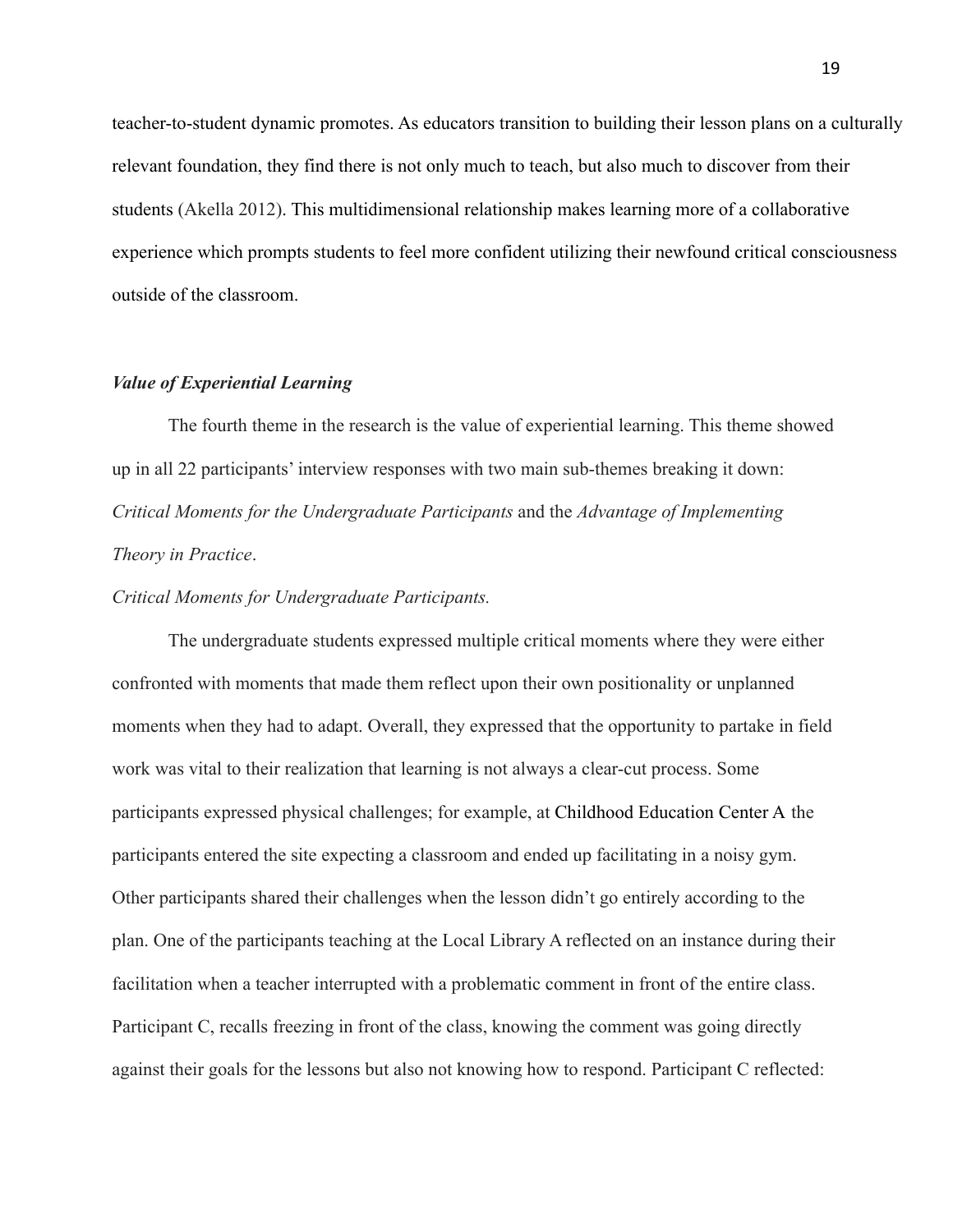teacher-to-student dynamic promotes. As educators transition to building their lesson plans on a culturally relevant foundation, they find there is not only much to teach, but also much to discover from their students (Akella 2012). This multidimensional relationship makes learning more of a collaborative experience which prompts students to feel more confident utilizing their newfound critical consciousness outside of the classroom.

#### *Value of Experiential Learning*

The fourth theme in the research is the value of experiential learning. This theme showed up in all 22 participants' interview responses with two main sub-themes breaking it down: *Critical Moments for the Undergraduate Participants* and the *Advantage of Implementing Theory in Practice*.

#### *Critical Moments for Undergraduate Participants.*

The undergraduate students expressed multiple critical moments where they were either confronted with moments that made them reflect upon their own positionality or unplanned moments when they had to adapt. Overall, they expressed that the opportunity to partake in field work was vital to their realization that learning is not always a clear-cut process. Some participants expressed physical challenges; for example, at Childhood Education Center A the participants entered the site expecting a classroom and ended up facilitating in a noisy gym. Other participants shared their challenges when the lesson didn't go entirely according to the plan. One of the participants teaching at the Local Library A reflected on an instance during their facilitation when a teacher interrupted with a problematic comment in front of the entire class. Participant C, recalls freezing in front of the class, knowing the comment was going directly against their goals for the lessons but also not knowing how to respond. Participant C reflected: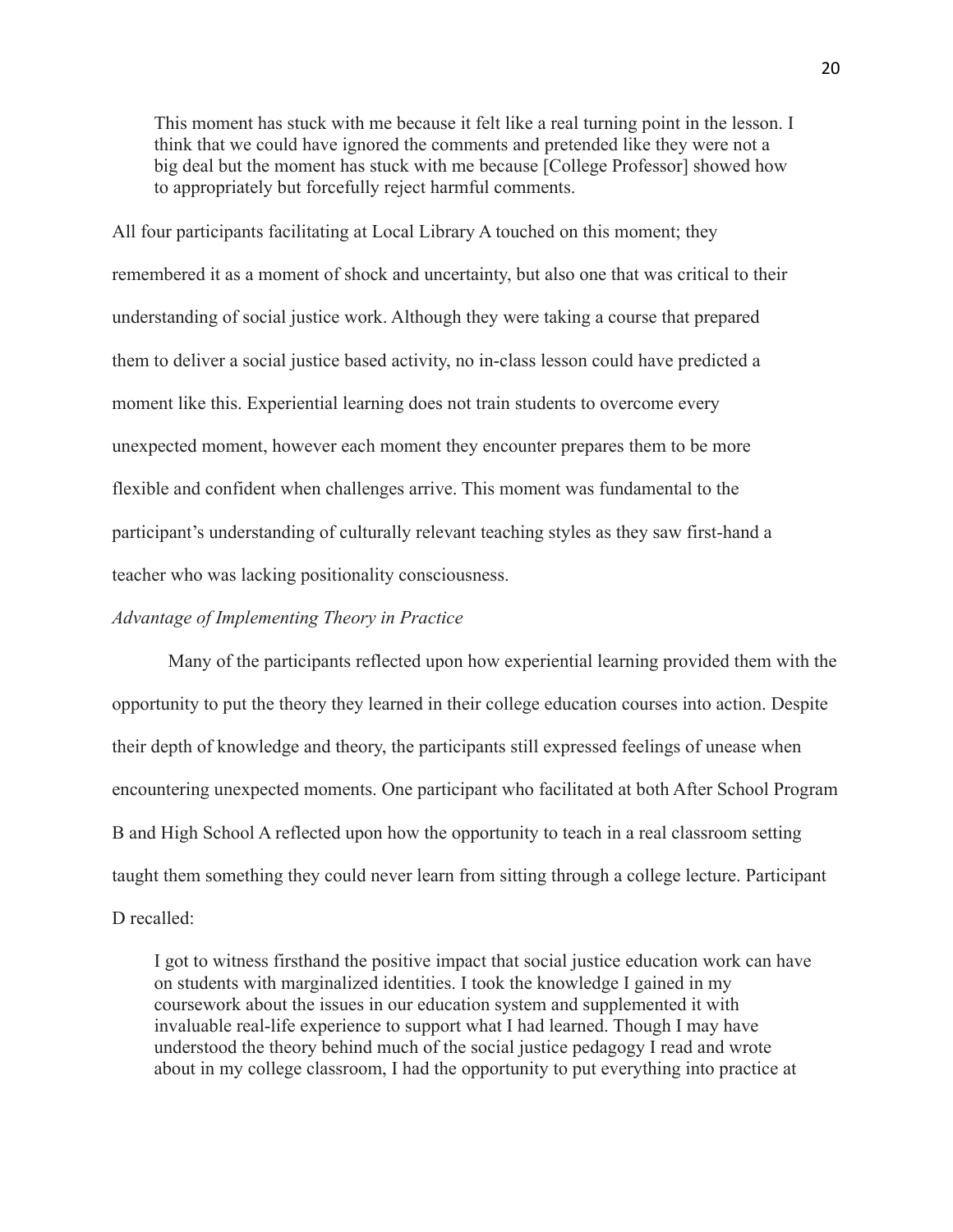This moment has stuck with me because it felt like a real turning point in the lesson. I think that we could have ignored the comments and pretended like they were not a big deal but the moment has stuck with me because [College Professor] showed how to appropriately but forcefully reject harmful comments.

All four participants facilitating at Local Library A touched on this moment; they remembered it as a moment of shock and uncertainty, but also one that was critical to their understanding of social justice work. Although they were taking a course that prepared them to deliver a social justice based activity, no in-class lesson could have predicted a moment like this. Experiential learning does not train students to overcome every unexpected moment, however each moment they encounter prepares them to be more flexible and confident when challenges arrive. This moment was fundamental to the participant's understanding of culturally relevant teaching styles as they saw first-hand a teacher who was lacking positionality consciousness.

#### *Advantage of Implementing Theory in Practice*

Many of the participants reflected upon how experiential learning provided them with the opportunity to put the theory they learned in their college education courses into action. Despite their depth of knowledge and theory, the participants still expressed feelings of unease when encountering unexpected moments. One participant who facilitated at both After School Program B and High School A reflected upon how the opportunity to teach in a real classroom setting taught them something they could never learn from sitting through a college lecture. Participant D recalled:

I got to witness firsthand the positive impact that social justice education work can have on students with marginalized identities. I took the knowledge I gained in my coursework about the issues in our education system and supplemented it with invaluable real-life experience to support what I had learned. Though I may have understood the theory behind much of the social justice pedagogy I read and wrote about in my college classroom, I had the opportunity to put everything into practice at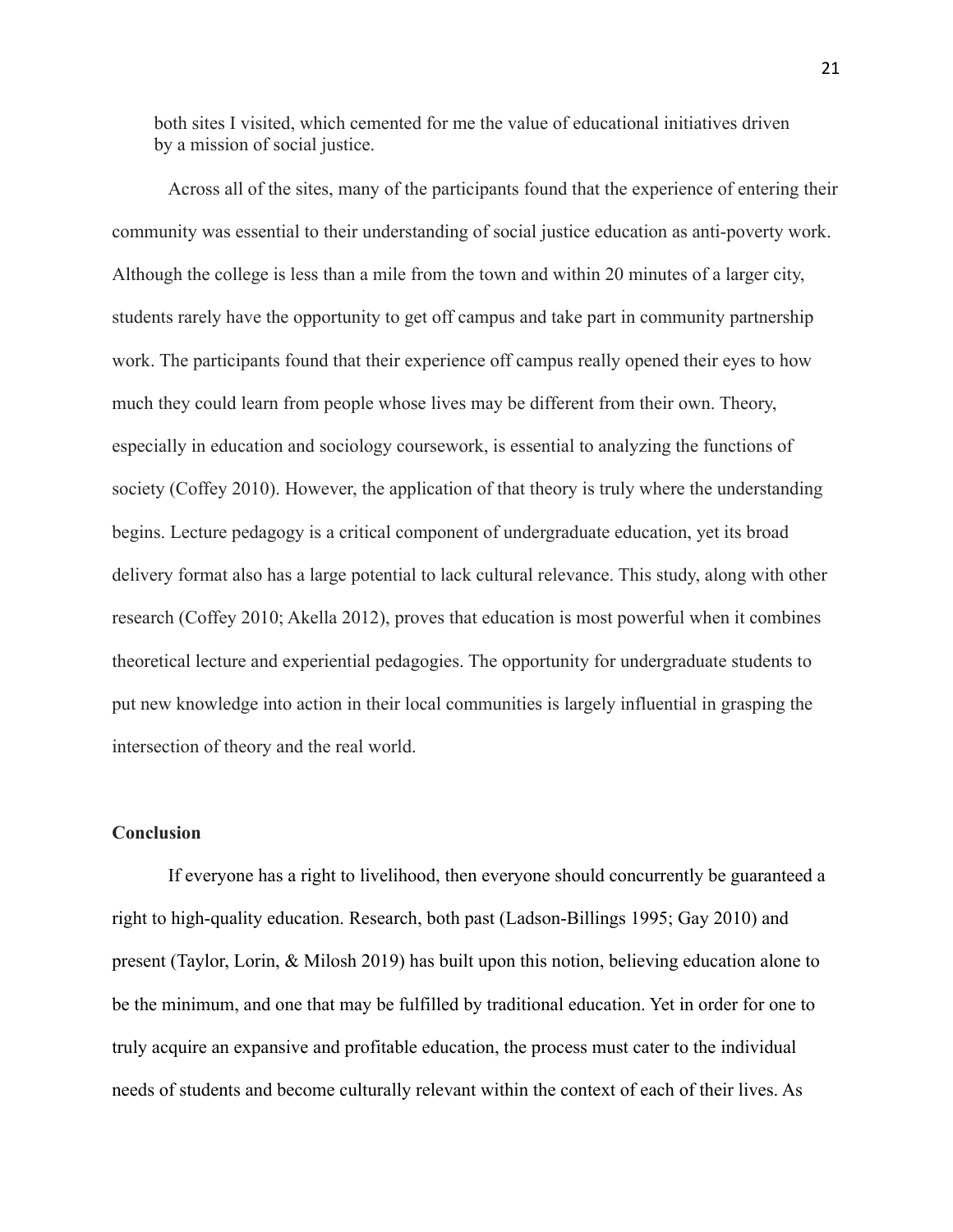both sites I visited, which cemented for me the value of educational initiatives driven by a mission of social justice.

Across all of the sites, many of the participants found that the experience of entering their community was essential to their understanding of social justice education as anti-poverty work. Although the college is less than a mile from the town and within 20 minutes of a larger city, students rarely have the opportunity to get off campus and take part in community partnership work. The participants found that their experience off campus really opened their eyes to how much they could learn from people whose lives may be different from their own. Theory, especially in education and sociology coursework, is essential to analyzing the functions of society (Coffey 2010). However, the application of that theory is truly where the understanding begins. Lecture pedagogy is a critical component of undergraduate education, yet its broad delivery format also has a large potential to lack cultural relevance. This study, along with other research (Coffey 2010; Akella 2012), proves that education is most powerful when it combines theoretical lecture and experiential pedagogies. The opportunity for undergraduate students to put new knowledge into action in their local communities is largely influential in grasping the intersection of theory and the real world.

#### **Conclusion**

If everyone has a right to livelihood, then everyone should concurrently be guaranteed a right to high-quality education. Research, both past (Ladson-Billings 1995; Gay 2010) and present (Taylor, Lorin, & Milosh 2019) has built upon this notion, believing education alone to be the minimum, and one that may be fulfilled by traditional education. Yet in order for one to truly acquire an expansive and profitable education, the process must cater to the individual needs of students and become culturally relevant within the context of each of their lives. As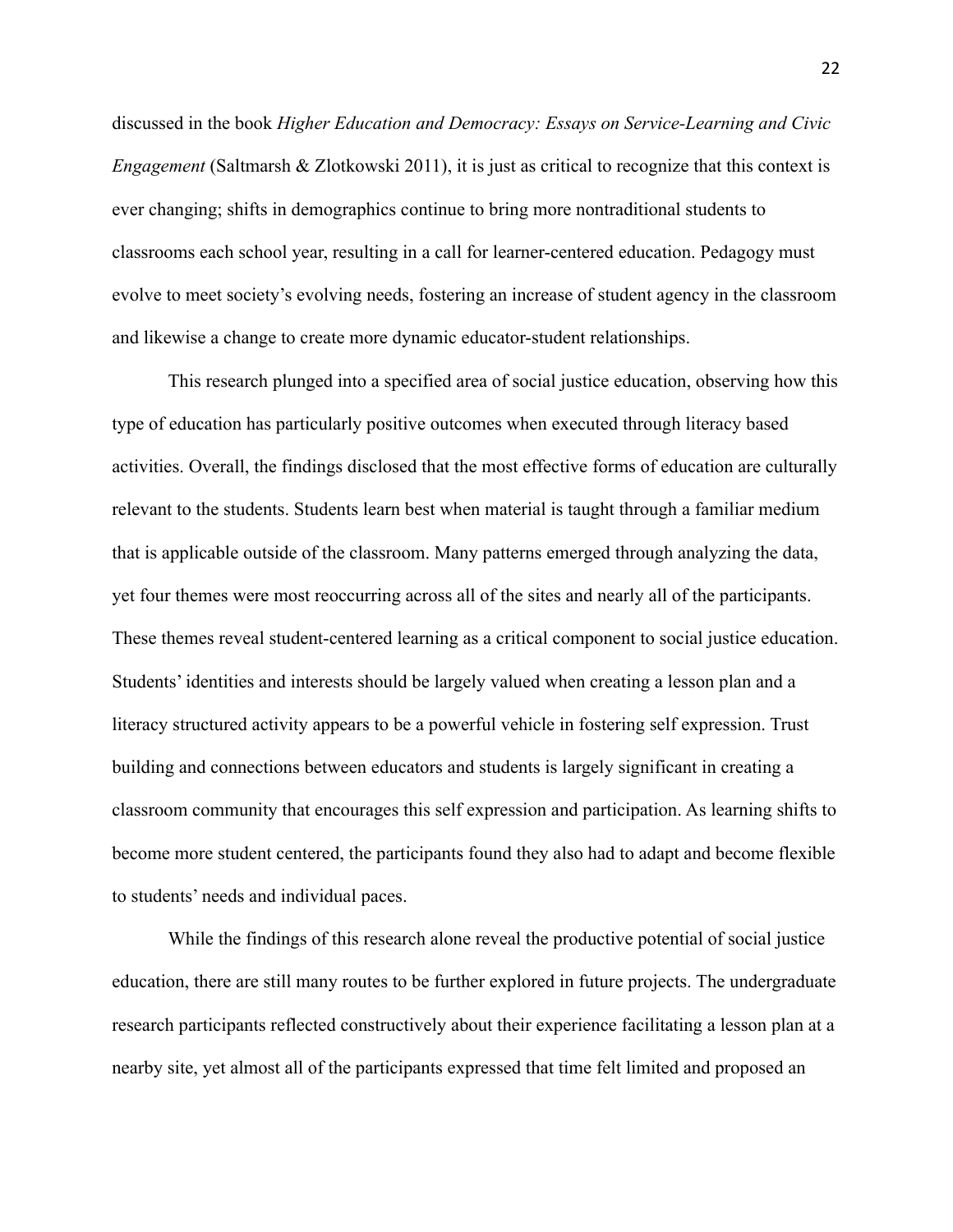discussed in the book *Higher Education and Democracy: Essays on Service-Learning and Civic Engagement* (Saltmarsh & Zlotkowski 2011), it is just as critical to recognize that this context is ever changing; shifts in demographics continue to bring more nontraditional students to classrooms each school year, resulting in a call for learner-centered education. Pedagogy must evolve to meet society's evolving needs, fostering an increase of student agency in the classroom and likewise a change to create more dynamic educator-student relationships.

This research plunged into a specified area of social justice education, observing how this type of education has particularly positive outcomes when executed through literacy based activities. Overall, the findings disclosed that the most effective forms of education are culturally relevant to the students. Students learn best when material is taught through a familiar medium that is applicable outside of the classroom. Many patterns emerged through analyzing the data, yet four themes were most reoccurring across all of the sites and nearly all of the participants. These themes reveal student-centered learning as a critical component to social justice education. Students' identities and interests should be largely valued when creating a lesson plan and a literacy structured activity appears to be a powerful vehicle in fostering self expression. Trust building and connections between educators and students is largely significant in creating a classroom community that encourages this self expression and participation. As learning shifts to become more student centered, the participants found they also had to adapt and become flexible to students' needs and individual paces.

While the findings of this research alone reveal the productive potential of social justice education, there are still many routes to be further explored in future projects. The undergraduate research participants reflected constructively about their experience facilitating a lesson plan at a nearby site, yet almost all of the participants expressed that time felt limited and proposed an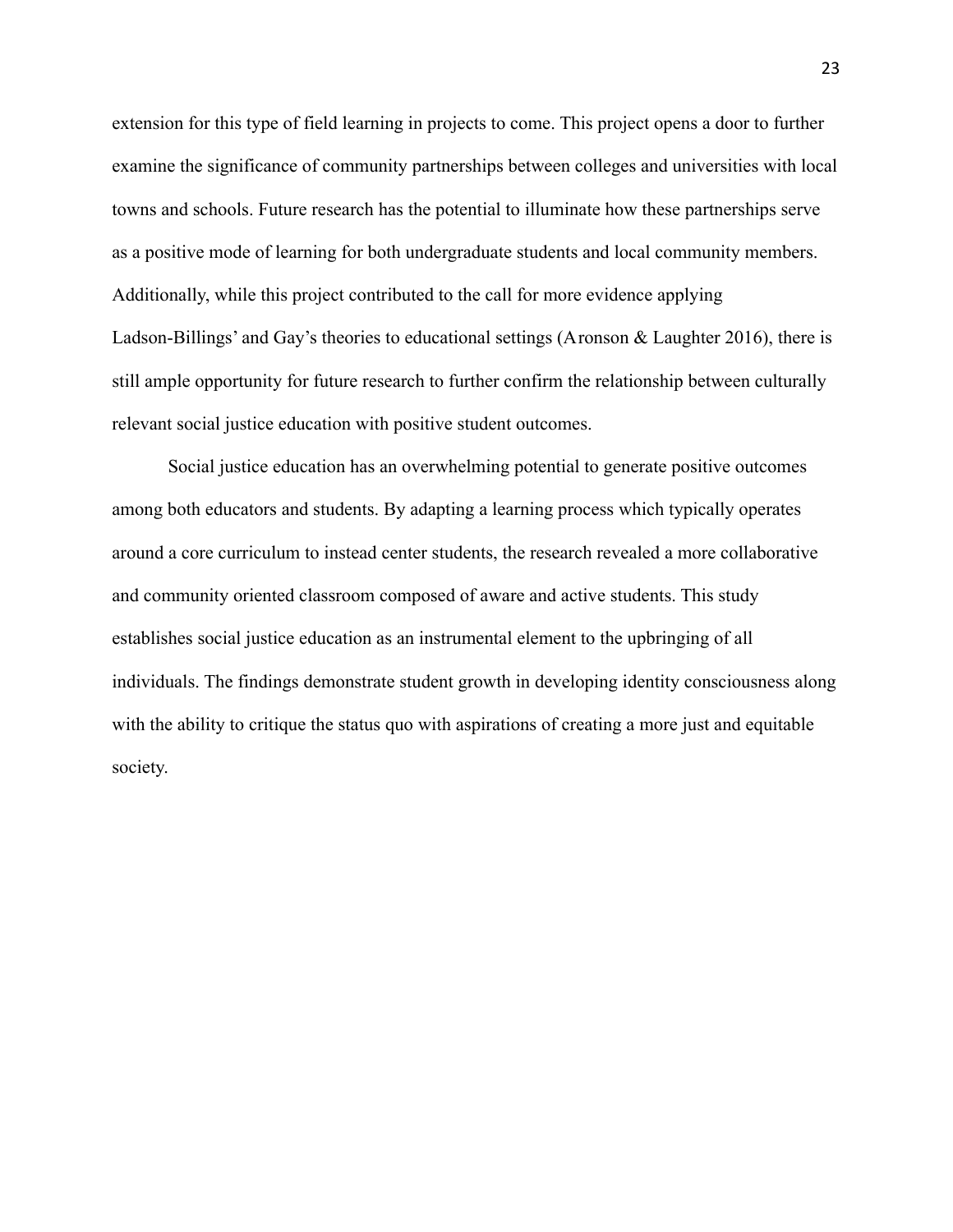extension for this type of field learning in projects to come. This project opens a door to further examine the significance of community partnerships between colleges and universities with local towns and schools. Future research has the potential to illuminate how these partnerships serve as a positive mode of learning for both undergraduate students and local community members. Additionally, while this project contributed to the call for more evidence applying Ladson-Billings' and Gay's theories to educational settings (Aronson & Laughter 2016), there is still ample opportunity for future research to further confirm the relationship between culturally relevant social justice education with positive student outcomes.

Social justice education has an overwhelming potential to generate positive outcomes among both educators and students. By adapting a learning process which typically operates around a core curriculum to instead center students, the research revealed a more collaborative and community oriented classroom composed of aware and active students. This study establishes social justice education as an instrumental element to the upbringing of all individuals. The findings demonstrate student growth in developing identity consciousness along with the ability to critique the status quo with aspirations of creating a more just and equitable society.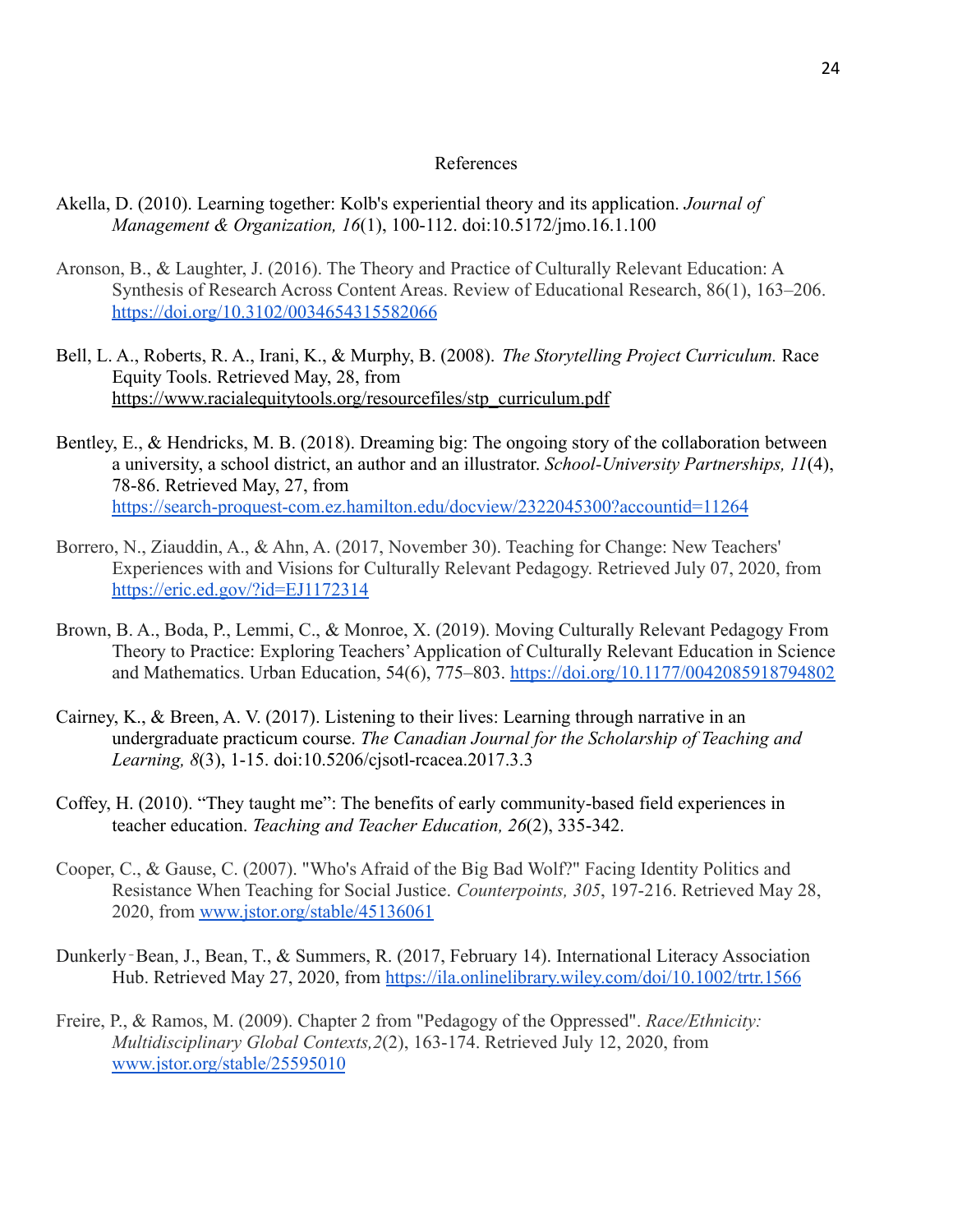#### References

- Akella, D. (2010). Learning together: Kolb's experiential theory and its application. *Journal of Management & Organization, 16*(1), 100-112. doi:10.5172/jmo.16.1.100
- Aronson, B., & Laughter, J. (2016). The Theory and Practice of Culturally Relevant Education: A Synthesis of Research Across Content Areas. Review of Educational Research, 86(1), 163–206. <https://doi.org/10.3102/0034654315582066>
- Bell, L. A., Roberts, R. A., Irani, K., & Murphy, B. (2008). *The Storytelling Project Curriculum.* Race Equity Tools. Retrieved May, 28, from [https://www.racialequitytools.org/resourcefiles/stp\\_curriculum.pdf](https://www.racialequitytools.org/resourcefiles/stp_curriculum.pdf)
- Bentley, E., & Hendricks, M. B. (2018). Dreaming big: The ongoing story of the collaboration between a university, a school district, an author and an illustrator. *School-University Partnerships, 11*(4), 78-86. Retrieved May, 27, from <https://search-proquest-com.ez.hamilton.edu/docview/2322045300?accountid=11264>
- Borrero, N., Ziauddin, A., & Ahn, A. (2017, November 30). Teaching for Change: New Teachers' Experiences with and Visions for Culturally Relevant Pedagogy. Retrieved July 07, 2020, from <https://eric.ed.gov/?id=EJ1172314>
- Brown, B. A., Boda, P., Lemmi, C., & Monroe, X. (2019). Moving Culturally Relevant Pedagogy From Theory to Practice: Exploring Teachers'Application of Culturally Relevant Education in Science and Mathematics. Urban Education, 54(6), 775–803. <https://doi.org/10.1177/0042085918794802>
- Cairney, K., & Breen, A. V. (2017). Listening to their lives: Learning through narrative in an undergraduate practicum course. *The Canadian Journal for the Scholarship of Teaching and Learning, 8*(3), 1-15. doi:10.5206/cjsotl-rcacea.2017.3.3
- Coffey, H. (2010). "They taught me": The benefits of early community-based field experiences in teacher education. *Teaching and Teacher Education, 26*(2), 335-342.
- Cooper, C., & Gause, C. (2007). "Who's Afraid of the Big Bad Wolf?" Facing Identity Politics and Resistance When Teaching for Social Justice. *Counterpoints, 305*, 197-216. Retrieved May 28, 2020, from [www.jstor.org/stable/45136061](http://www.jstor.org/stable/45136061)
- Dunkerly‐Bean, J., Bean, T., & Summers, R. (2017, February 14). International Literacy Association Hub. Retrieved May 27, 2020, from <https://ila.onlinelibrary.wiley.com/doi/10.1002/trtr.1566>
- Freire, P., & Ramos, M. (2009). Chapter 2 from "Pedagogy of the Oppressed". *Race/Ethnicity: Multidisciplinary Global Contexts,2*(2), 163-174. Retrieved July 12, 2020, from [www.jstor.org/stable/25595010](http://www.jstor.org/stable/25595010)